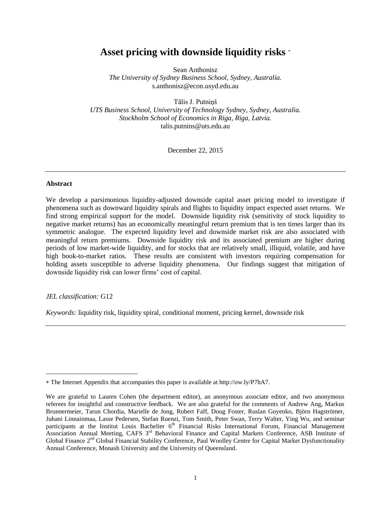# **Asset pricing with downside liquidity risks**

Sean Anthonisz

*The University of Sydney Business School, Sydney, Australia.* s.anthonisz@econ.usyd.edu.au

Tālis J. Putniņš

*UTS Business School, University of Technology Sydney, Sydney, Australia. Stockholm School of Economics in Riga, Riga, Latvia.* talis.putnins@uts.edu.au

December 22, 2015

## **Abstract**

We develop a parsimonious liquidity-adjusted downside capital asset pricing model to investigate if phenomena such as downward liquidity spirals and flights to liquidity impact expected asset returns. We find strong empirical support for the model. Downside liquidity risk (sensitivity of stock liquidity to negative market returns) has an economically meaningful return premium that is ten times larger than its symmetric analogue. The expected liquidity level and downside market risk are also associated with meaningful return premiums. Downside liquidity risk and its associated premium are higher during periods of low market-wide liquidity, and for stocks that are relatively small, illiquid, volatile, and have high book-to-market ratios. These results are consistent with investors requiring compensation for holding assets susceptible to adverse liquidity phenomena. Our findings suggest that mitigation of downside liquidity risk can lower firms' cost of capital.

# *JEL classification:* G12

-

*Keywords:* liquidity risk, liquidity spiral, conditional moment, pricing kernel, downside risk

The Internet Appendix that accompanies this paper is available at http://ow.ly/P7hA7.

We are grateful to Lauren Cohen (the department editor), an anonymous associate editor, and two anonymous referees for insightful and constructive feedback. We are also grateful for the comments of Andrew Ang, Markus Brunnermeier, Tarun Chordia, Marielle de Jong, Robert Faff, Doug Foster, Ruslan Goyenko, Björn Hagströmer, Juhani Linnainmaa, Lasse Pedersen, Stefan Ruenzi, Tom Smith, Peter Swan, Terry Walter, Ying Wu, and seminar participants at the Institut Louis Bachelier 6<sup>th</sup> Financial Risks International Forum, Financial Management Association Annual Meeting, CAFS 3rd Behavioral Finance and Capital Markets Conference, ASB Institute of Global Finance 2<sup>nd</sup> Global Financial Stability Conference, Paul Woolley Centre for Capital Market Dysfunctionality Annual Conference, Monash University and the University of Queensland.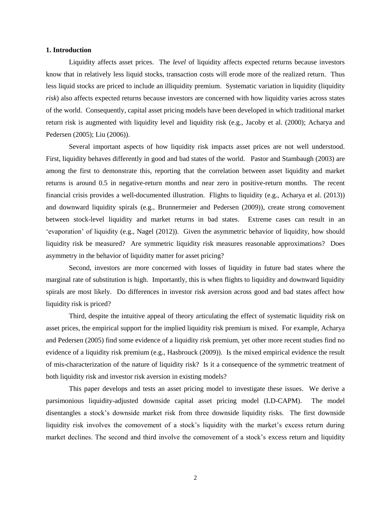#### **1. Introduction**

Liquidity affects asset prices. The *level* of liquidity affects expected returns because investors know that in relatively less liquid stocks, transaction costs will erode more of the realized return. Thus less liquid stocks are priced to include an illiquidity premium. Systematic variation in liquidity (liquidity *risk*) also affects expected returns because investors are concerned with how liquidity varies across states of the world. Consequently, capital asset pricing models have been developed in which traditional market return risk is augmented with liquidity level and liquidity risk (e.g., [Jacoby et al. \(2000\);](#page-37-0) [Acharya and](#page-34-0)  Pedersen (2005); [Liu \(2006\)\)](#page-38-0).

Several important aspects of how liquidity risk impacts asset prices are not well understood. First, liquidity behaves differently in good and bad states of the world. [Pastor and Stambaugh \(2003\)](#page-38-1) are among the first to demonstrate this, reporting that the correlation between asset liquidity and market returns is around 0.5 in negative-return months and near zero in positive-return months. The recent financial crisis provides a well-documented illustration. Flights to liquidity (e.g., [Acharya et al. \(2013\)\)](#page-34-1) and downward liquidity spirals (e.g., [Brunnermeier and Pedersen \(2009\)\)](#page-35-0), create strong comovement between stock-level liquidity and market returns in bad states. Extreme cases can result in an 'evaporation' of liquidity (e.g., [Nagel \(2012\)\)](#page-38-2). Given the asymmetric behavior of liquidity, how should liquidity risk be measured? Are symmetric liquidity risk measures reasonable approximations? Does asymmetry in the behavior of liquidity matter for asset pricing?

Second, investors are more concerned with losses of liquidity in future bad states where the marginal rate of substitution is high. Importantly, this is when flights to liquidity and downward liquidity spirals are most likely. Do differences in investor risk aversion across good and bad states affect how liquidity risk is priced?

Third, despite the intuitive appeal of theory articulating the effect of systematic liquidity risk on asset prices, the empirical support for the implied liquidity risk premium is mixed. For example, [Acharya](#page-34-0)  and Pedersen (2005) find some evidence of a liquidity risk premium, yet other more recent studies find no evidence of a liquidity risk premium (e.g., [Hasbrouck \(2009\)\)](#page-36-0). Is the mixed empirical evidence the result of mis-characterization of the nature of liquidity risk? Is it a consequence of the symmetric treatment of both liquidity risk and investor risk aversion in existing models?

This paper develops and tests an asset pricing model to investigate these issues. We derive a parsimonious liquidity-adjusted downside capital asset pricing model (LD-CAPM). The model disentangles a stock's downside market risk from three downside liquidity risks. The first downside liquidity risk involves the comovement of a stock's liquidity with the market's excess return during market declines. The second and third involve the comovement of a stock's excess return and liquidity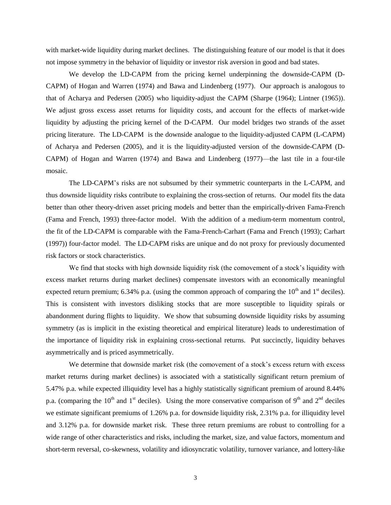with market-wide liquidity during market declines. The distinguishing feature of our model is that it does not impose symmetry in the behavior of liquidity or investor risk aversion in good and bad states.

We develop the LD-CAPM from the pricing kernel underpinning the downside-CAPM (D-CAPM) of [Hogan and Warren \(1974\)](#page-37-1) and [Bawa and Lindenberg \(1977\).](#page-35-1) Our approach is analogous to that of [Acharya and Pedersen \(2005\)](#page-34-0) who liquidity-adjust the CAPM [\(Sharpe \(1964\);](#page-39-0) [Lintner \(1965\)\)](#page-38-3). We adjust gross excess asset returns for liquidity costs, and account for the effects of market-wide liquidity by adjusting the pricing kernel of the D-CAPM. Our model bridges two strands of the asset pricing literature. The LD-CAPM is the downside analogue to the liquidity-adjusted CAPM (L-CAPM) of [Acharya and Pedersen \(2005\),](#page-34-0) and it is the liquidity-adjusted version of the downside-CAPM (D-CAPM) of [Hogan and Warren \(1974\)](#page-37-1) and [Bawa and Lindenberg \(1977\)—](#page-35-1)the last tile in a four-tile mosaic.

The LD-CAPM's risks are not subsumed by their symmetric counterparts in the L-CAPM, and thus downside liquidity risks contribute to explaining the cross-section of returns. Our model fits the data better than other theory-driven asset pricing models and better than the empirically-driven Fama-French [\(Fama and French, 1993\)](#page-36-1) three-factor model. With the addition of a medium-term momentum control, the fit of the LD-CAPM is comparable with the Fama-French-Carhart [\(Fama and French \(1993\);](#page-36-1) [Carhart](#page-35-2)  (1997)) four-factor model. The LD-CAPM risks are unique and do not proxy for previously documented risk factors or stock characteristics.

We find that stocks with high downside liquidity risk (the comovement of a stock's liquidity with excess market returns during market declines) compensate investors with an economically meaningful expected return premium; 6.34% p.a. (using the common approach of comparing the  $10<sup>th</sup>$  and  $1<sup>st</sup>$  deciles). This is consistent with investors disliking stocks that are more susceptible to liquidity spirals or abandonment during flights to liquidity. We show that subsuming downside liquidity risks by assuming symmetry (as is implicit in the existing theoretical and empirical literature) leads to underestimation of the importance of liquidity risk in explaining cross-sectional returns. Put succinctly, liquidity behaves asymmetrically and is priced asymmetrically.

We determine that downside market risk (the comovement of a stock's excess return with excess market returns during market declines) is associated with a statistically significant return premium of 5.47% p.a. while expected illiquidity level has a highly statistically significant premium of around 8.44% p.a. (comparing the 10<sup>th</sup> and 1<sup>st</sup> deciles). Using the more conservative comparison of 9<sup>th</sup> and 2<sup>nd</sup> deciles we estimate significant premiums of 1.26% p.a. for downside liquidity risk, 2.31% p.a. for illiquidity level and 3.12% p.a. for downside market risk. These three return premiums are robust to controlling for a wide range of other characteristics and risks, including the market, size, and value factors, momentum and short-term reversal, co-skewness, volatility and idiosyncratic volatility, turnover variance, and lottery-like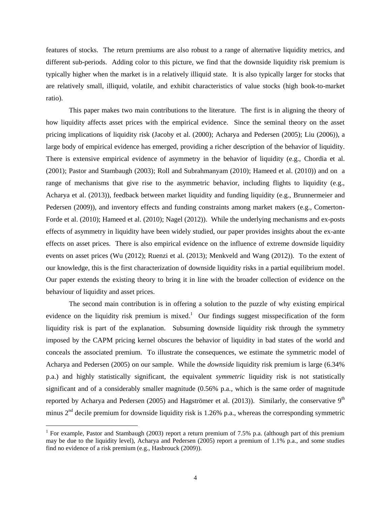features of stocks. The return premiums are also robust to a range of alternative liquidity metrics, and different sub-periods. Adding color to this picture, we find that the downside liquidity risk premium is typically higher when the market is in a relatively illiquid state. It is also typically larger for stocks that are relatively small, illiquid, volatile, and exhibit characteristics of value stocks (high book-to-market ratio).

This paper makes two main contributions to the literature. The first is in aligning the theory of how liquidity affects asset prices with the empirical evidence. Since the seminal theory on the asset pricing implications of liquidity risk [\(Jacoby et al. \(2000\);](#page-37-0) [Acharya and Pedersen \(2005\);](#page-34-0) [Liu \(2006\)\)](#page-38-0), a large body of empirical evidence has emerged, providing a richer description of the behavior of liquidity. There is extensive empirical evidence of asymmetry in the behavior of liquidity (e.g., [Chordia et al.](#page-35-3)  (2001); [Pastor and Stambaugh \(2003\);](#page-38-1) [Roll and Subrahmanyam \(2010\);](#page-39-1) [Hameed et al. \(2010\)\)](#page-36-2) and on a range of mechanisms that give rise to the asymmetric behavior, including flights to liquidity (e.g., [Acharya et al. \(2013\)\)](#page-34-1), feedback between market liquidity and funding liquidity (e.g., [Brunnermeier and](#page-35-0)  Pedersen (2009)), and inventory effects and funding constraints among market makers (e.g., Comerton-Forde et al. (2010); [Hameed et al. \(2010\);](#page-36-2) [Nagel \(2012\)\)](#page-38-2). While the underlying mechanisms and ex-posts effects of asymmetry in liquidity have been widely studied, our paper provides insights about the ex-ante effects on asset prices. There is also empirical evidence on the influence of extreme downside liquidity events on asset prices [\(Wu \(2012\);](#page-39-2) [Ruenzi et al. \(2013\);](#page-39-3) [Menkveld and Wang \(2012\)\)](#page-38-4). To the extent of our knowledge, this is the first characterization of downside liquidity risks in a partial equilibrium model. Our paper extends the existing theory to bring it in line with the broader collection of evidence on the behaviour of liquidity and asset prices.

The second main contribution is in offering a solution to the puzzle of why existing empirical evidence on the liquidity risk premium is mixed.<sup>1</sup> Our findings suggest misspecification of the form liquidity risk is part of the explanation. Subsuming downside liquidity risk through the symmetry imposed by the CAPM pricing kernel obscures the behavior of liquidity in bad states of the world and conceals the associated premium. To illustrate the consequences, we estimate the symmetric model of [Acharya and Pedersen \(2005\)](#page-34-0) on our sample. While the *downside* liquidity risk premium is large (6.34% p.a.) and highly statistically significant, the equivalent *symmetric* liquidity risk is not statistically significant and of a considerably smaller magnitude (0.56% p.a., which is the same order of magnitude reported by [Acharya and Pedersen \(2005\)](#page-34-0) and [Hagströmer et al. \(2013\)\)](#page-36-3). Similarly, the conservative  $9<sup>th</sup>$ minus  $2<sup>nd</sup>$  decile premium for downside liquidity risk is 1.26% p.a., whereas the corresponding symmetric

1

<sup>&</sup>lt;sup>1</sup> For example, [Pastor and Stambaugh \(2003\)](#page-38-1) report a return premium of 7.5% p.a. (although part of this premium may be due to the liquidity level), [Acharya and Pedersen \(2005\)](#page-34-0) report a premium of 1.1% p.a., and some studies find no evidence of a risk premium (e.g., [Hasbrouck \(2009\)\)](#page-36-0).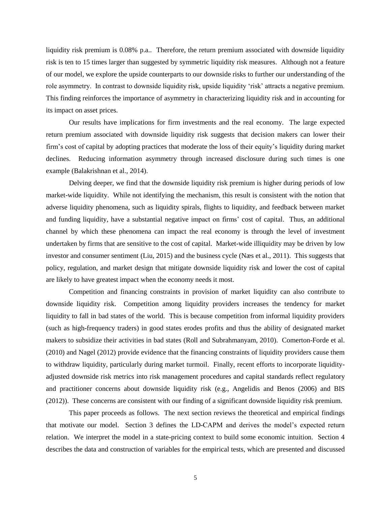liquidity risk premium is 0.08% p.a.. Therefore, the return premium associated with downside liquidity risk is ten to 15 times larger than suggested by symmetric liquidity risk measures. Although not a feature of our model, we explore the upside counterparts to our downside risks to further our understanding of the role asymmetry. In contrast to downside liquidity risk, upside liquidity 'risk' attracts a negative premium. This finding reinforces the importance of asymmetry in characterizing liquidity risk and in accounting for its impact on asset prices.

Our results have implications for firm investments and the real economy. The large expected return premium associated with downside liquidity risk suggests that decision makers can lower their firm's cost of capital by adopting practices that moderate the loss of their equity's liquidity during market declines. Reducing information asymmetry through increased disclosure during such times is one example [\(Balakrishnan et al., 2014\)](#page-34-2).

Delving deeper, we find that the downside liquidity risk premium is higher during periods of low market-wide liquidity. While not identifying the mechanism, this result is consistent with the notion that adverse liquidity phenomena, such as liquidity spirals, flights to liquidity, and feedback between market and funding liquidity, have a substantial negative impact on firms' cost of capital. Thus, an additional channel by which these phenomena can impact the real economy is through the level of investment undertaken by firms that are sensitive to the cost of capital. Market-wide illiquidity may be driven by low investor and consumer sentiment [\(Liu, 2015\)](#page-38-5) and the business cycle [\(Næs et al., 2011\)](#page-38-6). This suggests that policy, regulation, and market design that mitigate downside liquidity risk and lower the cost of capital are likely to have greatest impact when the economy needs it most.

Competition and financing constraints in provision of market liquidity can also contribute to downside liquidity risk. Competition among liquidity providers increases the tendency for market liquidity to fall in bad states of the world. This is because competition from informal liquidity providers (such as high-frequency traders) in good states erodes profits and thus the ability of designated market makers to subsidize their activities in bad states [\(Roll and Subrahmanyam, 2010\)](#page-39-1). [Comerton-Forde et al.](#page-35-4)  (2010) and [Nagel \(2012\)](#page-38-2) provide evidence that the financing constraints of liquidity providers cause them to withdraw liquidity, particularly during market turmoil. Finally, recent efforts to incorporate liquidityadjusted downside risk metrics into risk management procedures and capital standards reflect regulatory and practitioner concerns about downside liquidity risk (e.g., [Angelidis and Benos \(2006\)](#page-34-3) and [BIS](#page-35-5)  (2012)). These concerns are consistent with our finding of a significant downside liquidity risk premium.

This paper proceeds as follows. The next section reviews the theoretical and empirical findings that motivate our model. Section 3 defines the LD-CAPM and derives the model's expected return relation. We interpret the model in a state-pricing context to build some economic intuition. Section 4 describes the data and construction of variables for the empirical tests, which are presented and discussed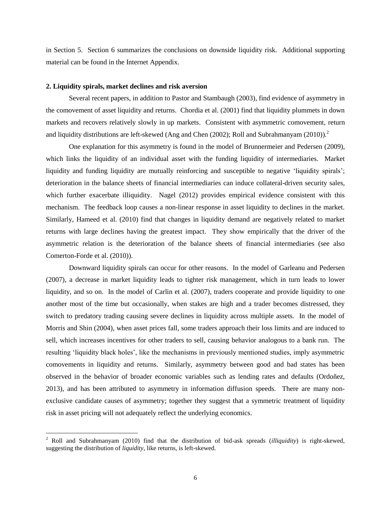in Section 5. Section 6 summarizes the conclusions on downside liquidity risk. Additional supporting material can be found in the Internet Appendix.

#### **2. Liquidity spirals, market declines and risk aversion**

1

Several recent papers, in addition to [Pastor and Stambaugh \(2003\),](#page-38-1) find evidence of asymmetry in the comovement of asset liquidity and returns. [Chordia et al. \(2001\)](#page-35-3) find that liquidity plummets in down markets and recovers relatively slowly in up markets. Consistent with asymmetric comovement, return and liquidity distributions are left-skewed [\(Ang and Chen \(2002\);](#page-34-4) [Roll and Subrahmanyam \(2010\)\)](#page-39-1).<sup>2</sup>

One explanation for this asymmetry is found in the model of [Brunnermeier and Pedersen \(2009\),](#page-35-0) which links the liquidity of an individual asset with the funding liquidity of intermediaries. Market liquidity and funding liquidity are mutually reinforcing and susceptible to negative 'liquidity spirals'; deterioration in the balance sheets of financial intermediaries can induce collateral-driven security sales, which further exacerbate illiquidity. [Nagel \(2012\)](#page-38-2) provides empirical evidence consistent with this mechanism. The feedback loop causes a non-linear response in asset liquidity to declines in the market. Similarly, [Hameed et al. \(2010\)](#page-36-2) find that changes in liquidity demand are negatively related to market returns with large declines having the greatest impact. They show empirically that the driver of the asymmetric relation is the deterioration of the balance sheets of financial intermediaries (see also [Comerton-Forde et al. \(2010\)\)](#page-35-4).

Downward liquidity spirals can occur for other reasons. In the model of [Garleanu and Pedersen](#page-36-4)  (2007), a decrease in market liquidity leads to tighter risk management, which in turn leads to lower liquidity, and so on. In the model of [Carlin et al. \(2007\),](#page-35-6) traders cooperate and provide liquidity to one another most of the time but occasionally, when stakes are high and a trader becomes distressed, they switch to predatory trading causing severe declines in liquidity across multiple assets. In the model of [Morris and Shin \(2004\),](#page-38-7) when asset prices fall, some traders approach their loss limits and are induced to sell, which increases incentives for other traders to sell, causing behavior analogous to a bank run. The resulting 'liquidity black holes', like the mechanisms in previously mentioned studies, imply asymmetric comovements in liquidity and returns. Similarly, asymmetry between good and bad states has been observed in the behavior of broader economic variables such as lending rates and defaults [\(Ordoñez,](#page-38-8)  [2013\)](#page-38-8), and has been attributed to asymmetry in information diffusion speeds. There are many nonexclusive candidate causes of asymmetry; together they suggest that a symmetric treatment of liquidity risk in asset pricing will not adequately reflect the underlying economics.

<sup>2</sup> [Roll and Subrahmanyam \(2010\)](#page-39-1) find that the distribution of bid-ask spreads (*illiquidity*) is right-skewed, suggesting the distribution of *liquidity*, like returns, is left-skewed.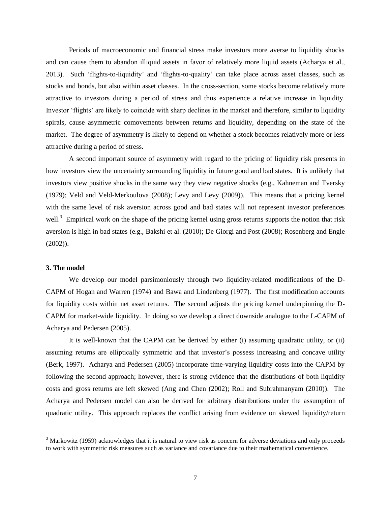Periods of macroeconomic and financial stress make investors more averse to liquidity shocks and can cause them to abandon illiquid assets in favor of relatively more liquid assets [\(Acharya et al.,](#page-34-1)  [2013\)](#page-34-1). Such 'flights-to-liquidity' and 'flights-to-quality' can take place across asset classes, such as stocks and bonds, but also within asset classes. In the cross-section, some stocks become relatively more attractive to investors during a period of stress and thus experience a relative increase in liquidity. Investor 'flights' are likely to coincide with sharp declines in the market and therefore, similar to liquidity spirals, cause asymmetric comovements between returns and liquidity, depending on the state of the market. The degree of asymmetry is likely to depend on whether a stock becomes relatively more or less attractive during a period of stress.

A second important source of asymmetry with regard to the pricing of liquidity risk presents in how investors view the uncertainty surrounding liquidity in future good and bad states. It is unlikely that investors view positive shocks in the same way they view negative shocks (e.g., [Kahneman and Tversky](#page-37-2)  (1979); [Veld and Veld-Merkoulova \(2008\);](#page-39-4) [Levy and Levy \(2009\)\)](#page-38-9). This means that a pricing kernel with the same level of risk aversion across good and bad states will not represent investor preferences well. $3$  Empirical work on the shape of the pricing kernel using gross returns supports the notion that risk aversion is high in bad states (e.g., [Bakshi et al. \(2010\);](#page-34-5) [De Giorgi and Post \(2008\);](#page-35-7) [Rosenberg and Engle](#page-39-5)  (2002)).

# **3. The model**

1

We develop our model parsimoniously through two liquidity-related modifications of the D-CAPM of [Hogan and Warren \(1974\)](#page-37-1) and [Bawa and Lindenberg \(1977\).](#page-35-1) The first modification accounts for liquidity costs within net asset returns. The second adjusts the pricing kernel underpinning the D-CAPM for market-wide liquidity. In doing so we develop a direct downside analogue to the L-CAPM of [Acharya and Pedersen \(2005\).](#page-34-0)

It is well-known that the CAPM can be derived by either (i) assuming quadratic utility, or (ii) assuming returns are elliptically symmetric and that investor's possess increasing and concave utility [\(Berk, 1997\)](#page-35-8). [Acharya and Pedersen \(2005\)](#page-34-0) incorporate time-varying liquidity costs into the CAPM by following the second approach; however, there is strong evidence that the distributions of both liquidity costs and gross returns are left skewed [\(Ang and Chen \(2002\);](#page-34-4) [Roll and Subrahmanyam \(2010\)\)](#page-39-1). The Acharya and Pedersen model can also be derived for arbitrary distributions under the assumption of quadratic utility. This approach replaces the conflict arising from evidence on skewed liquidity/return

<sup>&</sup>lt;sup>3</sup> [Markowitz \(1959\)](#page-38-10) acknowledges that it is natural to view risk as concern for adverse deviations and only proceeds to work with symmetric risk measures such as variance and covariance due to their mathematical convenience.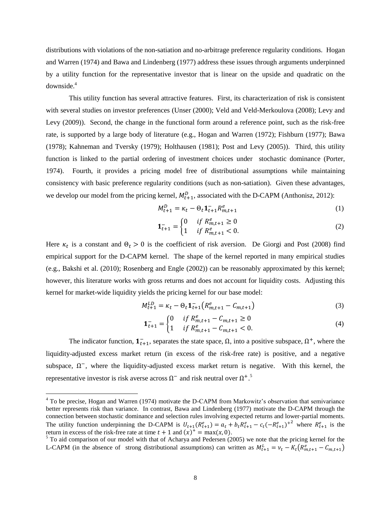distributions with violations of the non-satiation and no-arbitrage preference regularity conditions. [Hogan](#page-37-1)  and Warren (1974) and [Bawa and Lindenberg \(1977\)](#page-35-1) address these issues through arguments underpinned by a utility function for the representative investor that is linear on the upside and quadratic on the downside.<sup>4</sup>

This utility function has several attractive features. First, its characterization of risk is consistent with several studies on investor preferences [\(Unser \(2000\);](#page-39-6) [Veld and Veld-Merkoulova \(2008\);](#page-39-4) [Levy and](#page-38-9)  Levy (2009)). Second, the change in the functional form around a reference point, such as the risk-free rate, is supported by a large body of literature (e.g., [Hogan and Warren \(1972\);](#page-37-3) [Fishburn \(1977\);](#page-36-5) [Bawa](#page-35-9)  (1978); [Kahneman and Tversky \(1979\);](#page-37-2) [Holthausen \(1981\);](#page-37-4) [Post and Levy \(2005\)\)](#page-39-7). Third, this utility function is linked to the partial ordering of investment choices under stochastic dominance [\(Porter,](#page-38-11)  [1974\)](#page-38-11). Fourth, it provides a pricing model free of distributional assumptions while maintaining consistency with basic preference regularity conditions (such as non-satiation). Given these advantages, we develop our model from the pricing kernel,  $M_{t+1}^D$ , associated with the D-CAPM [\(Anthonisz, 2012\)](#page-34-6):

$$
M_{t+1}^D = \kappa_t - \Theta_t \mathbf{1}_{t+1}^- R_{m,t+1}^e \tag{1}
$$

$$
\mathbf{1}_{t+1}^{-} = \begin{cases} 0 & \text{if } R_{m,t+1}^{e} \ge 0\\ 1 & \text{if } R_{m,t+1}^{e} < 0. \end{cases}
$$
 (2)

Here  $\kappa_t$  is a constant and  $\Theta_t > 0$  is the coefficient of risk aversion. [De Giorgi and Post \(2008\)](#page-35-7) find empirical support for the D-CAPM kernel. The shape of the kernel reported in many empirical studies (e.g., [Bakshi et al. \(2010\);](#page-34-5) [Rosenberg and Engle \(2002\)\)](#page-39-5) can be reasonably approximated by this kernel; however, this literature works with gross returns and does not account for liquidity costs. Adjusting this kernel for market-wide liquidity yields the pricing kernel for our base model:

$$
M_{t+1}^{LD} = \kappa_t - \Theta_t \mathbf{1}_{t+1}^{-} \left( R_{m,t+1}^e - C_{m,t+1} \right) \tag{3}
$$

$$
\mathbf{1}_{t+1}^{-} = \begin{cases} 0 & \text{if } R_{m,t+1}^{e} - C_{m,t+1} \ge 0 \\ 1 & \text{if } R_{m,t+1}^{e} - C_{m,t+1} < 0. \end{cases} \tag{4}
$$

The indicator function,  $\mathbf{1}_{t+1}^-$ , separates the state space,  $\Omega$ , into a positive subspace,  $\Omega^+$ , where the liquidity-adjusted excess market return (in excess of the risk-free rate) is positive, and a negative subspace,  $\Omega^-$ , where the liquidity-adjusted excess market return is negative. With this kernel, the representative investor is risk averse across  $\Omega^-$  and risk neutral over  $\Omega^+$ .<sup>5</sup>

1

<sup>&</sup>lt;sup>4</sup> To be precise, [Hogan and Warren \(1974\)](#page-37-1) motivate the D-CAPM from Markowitz's observation that semivariance better represents risk than variance. In contrast, [Bawa and Lindenberg \(1977\)](#page-35-1) motivate the D-CAPM through the connection between stochastic dominance and selection rules involving expected returns and lower-partial moments. The utility function underpinning the D-CAPM is  $U_{t+1}(R_{t+1}^e) = a_t + b_t R_{t+1}^e - c_t (-R_{t+1}^e)^{1/2}$  where  $R_{t+1}^e$  is the return in excess of the risk-free rate at time  $t + 1$  and  $(x)^+ = \max(x, 0)$ .

 $5$  To aid comparison of our model with that of [Acharya and Pedersen \(2005\)](#page-34-0) we note that the pricing kernel for the L-CAPM (in the absence of strong distributional assumptions) can written as  $M_{t+1}^L = v_t - K_t (R_{m,t+1}^e - C_{m,t+1})$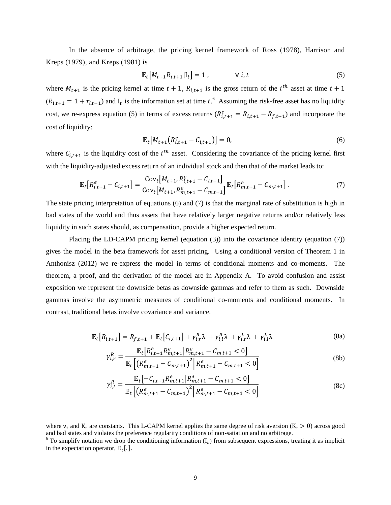In the absence of arbitrage, the pricing kernel framework of [Ross \(1978\),](#page-39-8) [Harrison and](#page-36-6)  Kreps (1979), and [Kreps \(1981\)](#page-37-5) is

$$
\mathbb{E}_t \big[ M_{t+1} R_{i,t+1} | I_t \big] = 1, \qquad \forall \ i, t \tag{5}
$$

where  $M_{t+1}$  is the pricing kernel at time  $t + 1$ ,  $R_{i,t+1}$  is the gross return of the  $i^{th}$  asset at time  $t + 1$  $(R_{i,t+1} = 1 + r_{i,t+1})$  and  $I_t$  is the information set at time t.<sup>6</sup> Assuming the risk-free asset has no liquidity cost, we re-express equation (5) in terms of excess returns ( $R_{i,t+1}^e = R_{i,t+1} - R_{f,t+1}$ ) and incorporate the cost of liquidity:

$$
\mathbb{E}_{t}[M_{t+1}(R_{i,t+1}^{e}-C_{i,t+1})]=0,
$$
\n(6)

where  $C_{i,t+1}$  is the liquidity cost of the  $i^{th}$  asset. Considering the covariance of the pricing kernel first with the liquidity-adjusted excess return of an individual stock and then that of the market leads to:

$$
\mathbb{E}_{t}[R_{i,t+1}^{e} - C_{i,t+1}] = \frac{\text{Cov}_{t}[M_{t+1}, R_{i,t+1}^{e} - C_{i,t+1}]}{\text{Cov}_{t}[M_{t+1}, R_{m,t+1}^{e} - C_{m,t+1}]} \mathbb{E}_{t}[R_{m,t+1}^{e} - C_{m,t+1}].
$$
\n(7)

The state pricing interpretation of equations (6) and (7) is that the marginal rate of substitution is high in bad states of the world and thus assets that have relatively larger negative returns and/or relatively less liquidity in such states should, as compensation, provide a higher expected return.

Placing the LD-CAPM pricing kernel (equation (3)) into the covariance identity (equation (7)) gives the model in the beta framework for asset pricing. Using a conditional version of Theorem 1 in [Anthonisz \(2012\)](#page-34-6) we re-express the model in terms of conditional moments and co-moments. The theorem, a proof, and the derivation of the model are in Appendix A. To avoid confusion and assist exposition we represent the downside betas as downside gammas and refer to them as such. Downside gammas involve the asymmetric measures of conditional co-moments and conditional moments. In contrast, traditional betas involve covariance and variance.

$$
\mathbb{E}_{t}[R_{i,t+1}] = R_{f,t+1} + \mathbb{E}_{t}[C_{i,t+1}] + \gamma_{i,r}^{R} \lambda + \gamma_{i,l}^{R} \lambda + \gamma_{i,l}^{L} \lambda + \gamma_{i,l}^{L} \lambda
$$
\n(8a)

$$
\gamma_{i,r}^{R} = \frac{\mathbb{E}_{t} \left[ R_{i,t+1}^{e} R_{m,t+1}^{e} \middle| R_{m,t+1}^{e} - C_{m,t+1} < 0 \right]}{\mathbb{E}_{t} \left[ \left( R_{m,t+1}^{e} - C_{m,t+1} \right)^{2} \middle| R_{m,t+1}^{e} - C_{m,t+1} < 0 \right]}
$$
\n(8b)

$$
\gamma_{i,l}^{R} = \frac{\mathbb{E}_{t} \left[ -C_{i,t+1} R_{m,t+1}^{e} \left| R_{m,t+1}^{e} - C_{m,t+1} < 0 \right| \right]}{\mathbb{E}_{t} \left[ \left( R_{m,t+1}^{e} - C_{m,t+1} \right)^{2} \left| R_{m,t+1}^{e} - C_{m,t+1} < 0 \right| \right]} \tag{8c}
$$

1

where  $v_t$  and  $K_t$  are constants. This L-CAPM kernel applies the same degree of risk aversion  $(K_t > 0)$  across good and bad states and violates the preference regularity conditions of non-satiation and no arbitrage.

 $6$  To simplify notation we drop the conditioning information  $(I_t)$  from subsequent expressions, treating it as implicit in the expectation operator,  $\mathbb{E}_t$ [.].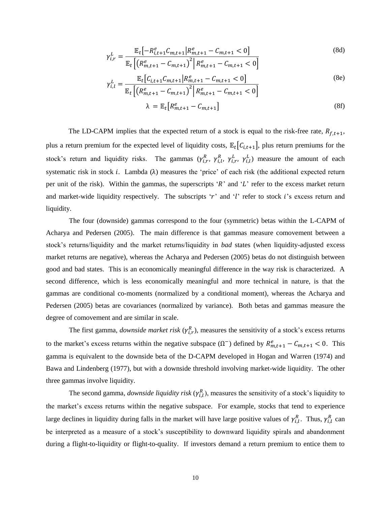$$
\gamma_{i,r}^L = \frac{\mathbb{E}_t \left[ -R_{i,t+1}^e C_{m,t+1} \middle| R_{m,t+1}^e - C_{m,t+1} < 0 \right]}{\mathbb{E}_t \left[ \left( R_{m,t+1}^e - C_{m,t+1} \right)^2 \middle| R_{m,t+1}^e - C_{m,t+1} < 0 \right]}
$$
\n(8d)

$$
\gamma_{i,l}^{L} = \frac{\mathbb{E}_{t} \left[ C_{i,t+1} C_{m,t+1} \middle| R_{m,t+1}^{e} - C_{m,t+1} < 0 \right]}{\mathbb{E}_{t} \left[ \left( R_{m,t+1}^{e} - C_{m,t+1} \right)^{2} \middle| R_{m,t+1}^{e} - C_{m,t+1} < 0 \right]}
$$
\n(8e)

$$
\lambda = \mathbb{E}_t \big[ R_{m,t+1}^e - C_{m,t+1} \big] \tag{8f}
$$

The LD-CAPM implies that the expected return of a stock is equal to the risk-free rate,  $R_{f,t+1}$ , plus a return premium for the expected level of liquidity costs,  $\mathbb{E}_t[C_{i,t+1}]$ , plus return premiums for the stock's return and liquidity risks. The gammas  $(\gamma_{i,r}^R, \gamma_{i,l}^R, \gamma_{i,r}^L, \gamma_{i,l}^L)$  measure the amount of each systematic risk in stock i. Lambda  $(\lambda)$  measures the 'price' of each risk (the additional expected return per unit of the risk). Within the gammas, the superscripts ' $R$ ' and ' $L$ ' refer to the excess market return and market-wide liquidity respectively. The subscripts 'r' and 'l' refer to stock i's excess return and liquidity.

The four (downside) gammas correspond to the four (symmetric) betas within the L-CAPM of [Acharya and Pedersen \(2005\).](#page-34-0) The main difference is that gammas measure comovement between a stock's returns/liquidity and the market returns/liquidity in *bad* states (when liquidity-adjusted excess market returns are negative), whereas the [Acharya and Pedersen \(2005\)](#page-34-0) betas do not distinguish between good and bad states. This is an economically meaningful difference in the way risk is characterized. A second difference, which is less economically meaningful and more technical in nature, is that the gammas are conditional co-moments (normalized by a conditional moment), whereas the [Acharya and](#page-34-0)  Pedersen (2005) betas are covariances (normalized by variance). Both betas and gammas measure the degree of comovement and are similar in scale.

The first gamma, *downside market risk*  $(\gamma_{i,r}^R)$ , measures the sensitivity of a stock's excess returns to the market's excess returns within the negative subspace  $(\Omega^-)$  defined by  $R_{m,t+1}^e - C_{m,t+1} < 0$ . This gamma is equivalent to the downside beta of the D-CAPM developed in [Hogan and Warren \(1974\)](#page-37-1) and [Bawa and Lindenberg \(1977\),](#page-35-1) but with a downside threshold involving market-wide liquidity. The other three gammas involve liquidity.

The second gamma, *downside liquidity risk*  $(\gamma_{i,l}^R)$ , measures the sensitivity of a stock's liquidity to the market's excess returns within the negative subspace. For example, stocks that tend to experience large declines in liquidity during falls in the market will have large positive values of  $\gamma_{i,l}^R$ . Thus,  $\gamma_{i,l}^R$  can be interpreted as a measure of a stock's susceptibility to downward liquidity spirals and abandonment during a flight-to-liquidity or flight-to-quality. If investors demand a return premium to entice them to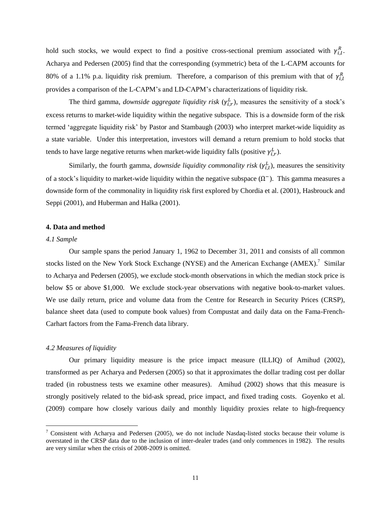hold such stocks, we would expect to find a positive cross-sectional premium associated with  $\gamma_{i,l}^R$ . [Acharya and Pedersen \(2005\)](#page-34-0) find that the corresponding (symmetric) beta of the L-CAPM accounts for 80% of a 1.1% p.a. liquidity risk premium. Therefore, a comparison of this premium with that of  $\gamma_{i,l}^R$ provides a comparison of the L-CAPM's and LD-CAPM's characterizations of liquidity risk.

The third gamma, *downside aggregate liquidity risk*  $(\gamma_{i,r}^L)$ , measures the sensitivity of a stock's excess returns to market-wide liquidity within the negative subspace. This is a downside form of the risk termed 'aggregate liquidity risk' by [Pastor and Stambaugh \(2003\)](#page-38-1) who interpret market-wide liquidity as a state variable. Under this interpretation, investors will demand a return premium to hold stocks that tends to have large negative returns when market-wide liquidity falls (positive  $\gamma_{i,r}^L$ ).

Similarly, the fourth gamma, *downside liquidity commonality risk*  $(\gamma_{i,l}^L)$ , measures the sensitivity of a stock's liquidity to market-wide liquidity within the negative subspace  $(\Omega^-)$ . This gamma measures a downside form of the commonality in liquidity risk first explored by [Chordia et al. \(2001\),](#page-35-3) [Hasbrouck and](#page-37-6)  Seppi (2001), and [Huberman and Halka \(2001\).](#page-37-7)

#### **4. Data and method**

#### *4.1 Sample*

Our sample spans the period January 1, 1962 to December 31, 2011 and consists of all common stocks listed on the New York Stock Exchange (NYSE) and the American Exchange (AMEX).<sup>7</sup> Similar to [Acharya and Pedersen \(2005\),](#page-34-0) we exclude stock-month observations in which the median stock price is below \$5 or above \$1,000. We exclude stock-year observations with negative book-to-market values. We use daily return, price and volume data from the Centre for Research in Security Prices (CRSP), balance sheet data (used to compute book values) from Compustat and daily data on the Fama-French-Carhart factors from the Fama-French data library.

## *4.2 Measures of liquidity*

1

Our primary liquidity measure is the price impact measure (ILLIQ) of [Amihud \(2002\),](#page-34-7) transformed as per [Acharya and Pedersen \(2005\)](#page-34-0) so that it approximates the dollar trading cost per dollar traded (in robustness tests we examine other measures). [Amihud \(2002\)](#page-34-7) shows that this measure is strongly positively related to the bid-ask spread, price impact, and fixed trading costs. [Goyenko et al.](#page-36-7)  (2009) compare how closely various daily and monthly liquidity proxies relate to high-frequency

<sup>&</sup>lt;sup>7</sup> Consistent with [Acharya and Pedersen \(2005\),](#page-34-0) we do not include Nasdaq-listed stocks because their volume is overstated in the CRSP data due to the inclusion of inter-dealer trades (and only commences in 1982). The results are very similar when the crisis of 2008-2009 is omitted.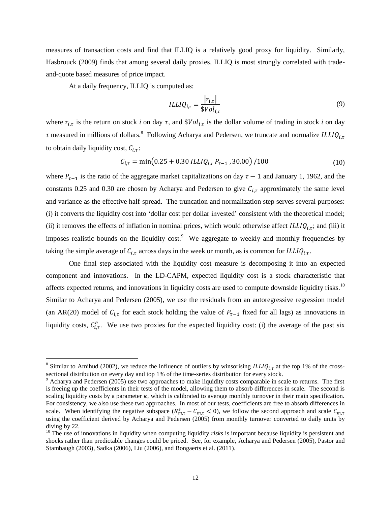measures of transaction costs and find that ILLIQ is a relatively good proxy for liquidity. Similarly, [Hasbrouck \(2009\)](#page-36-0) finds that among several daily proxies, ILLIQ is most strongly correlated with tradeand-quote based measures of price impact.

At a daily frequency, ILLIQ is computed as:

1

$$
ILLIQ_{i,\tau} = \frac{|r_{i,\tau}|}{\$Vol_{i,\tau}}
$$
\n(9)

where  $r_{i,\tau}$  is the return on stock *i* on day  $\tau$ , and  $$Vol_{i,\tau}$  is the dollar volume of trading in stock *i* on day  $\tau$  measured in millions of dollars.<sup>8</sup> Following Acharya and Pedersen, we truncate and normalize *ILLIQ*<sub>i, $\tau$ </sub> to obtain daily liquidity cost,  $C_{i,\tau}$ :

$$
C_{i,\tau} = \min(0.25 + 0.30 \; ILLIQ_{i,\tau} \, P_{\tau-1} \, , 30.00) / 100 \tag{10}
$$

where  $P_{\tau-1}$  is the ratio of the aggregate market capitalizations on day  $\tau - 1$  and January 1, 1962, and the constants 0.25 and 0.30 are chosen by Acharya and Pedersen to give  $C_{i,\tau}$  approximately the same level and variance as the effective half-spread. The truncation and normalization step serves several purposes: (i) it converts the liquidity cost into 'dollar cost per dollar invested' consistent with the theoretical model; (ii) it removes the effects of inflation in nominal prices, which would otherwise affect  $ILLIQ_{i,\tau}$ ; and (iii) it imposes realistic bounds on the liquidity cost.<sup>9</sup> We aggregate to weekly and monthly frequencies by taking the simple average of  $C_{i,\tau}$  across days in the week or month, as is common for  $ILLIQ_{i,\tau}$ .

One final step associated with the liquidity cost measure is decomposing it into an expected component and innovations. In the LD-CAPM, expected liquidity cost is a stock characteristic that affects expected returns, and innovations in liquidity costs are used to compute downside liquidity risks.<sup>10</sup> Similar to Acharya and Pedersen (2005), we use the residuals from an autoregressive regression model (an AR(20) model of  $C_{i,\tau}$  for each stock holding the value of  $P_{\tau-1}$  fixed for all lags) as innovations in liquidity costs,  $C_{i,\tau}^e$ . We use two proxies for the expected liquidity cost: (i) the average of the past six

<sup>&</sup>lt;sup>8</sup> Similar to [Amihud \(2002\),](#page-34-7) we reduce the influence of outliers by winsorising  $ILLIQ_{i,\tau}$  at the top 1% of the crosssectional distribution on every day and top 1% of the time-series distribution for every stock.

<sup>&</sup>lt;sup>9</sup> Acharya and Pedersen (2005) use two approaches to make liquidity costs comparable in scale to returns. The first is freeing up the coefficients in their tests of the model, allowing them to absorb differences in scale. The second is scaling liquidity costs by a parameter  $\kappa$ , which is calibrated to average monthly turnover in their main specification. For consistency, we also use these two approaches. In most of our tests, coefficients are free to absorb differences in scale. When identifying the negative subspace  $(R_{m,\tau}^e - C_{m,\tau} < 0)$ , we follow the second approach and scale  $C_{m,\tau}$ using the coefficient derived by Acharya and Pedersen (2005) from monthly turnover converted to daily units by diving by 22.

<sup>&</sup>lt;sup>10</sup> The use of innovations in liquidity when computing liquidity *risks* is important because liquidity is persistent and shocks rather than predictable changes could be priced. See, for example, [Acharya and Pedersen \(2005\),](#page-34-0) [Pastor and](#page-38-1)  Stambaugh (2003), [Sadka \(2006\),](#page-39-9) [Liu \(2006\),](#page-38-0) an[d Bongaerts et al. \(2011\).](#page-35-10)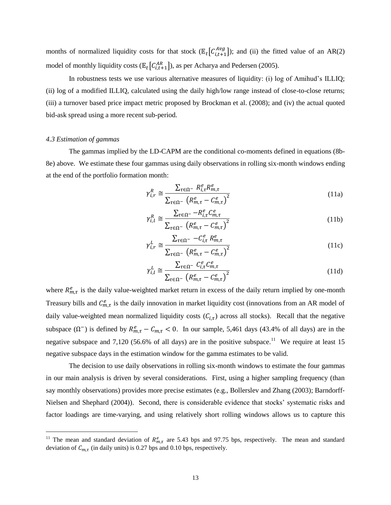months of normalized liquidity costs for that stock  $(\mathbb{E}_{t} [C_{i,t+1}^{Avg}])$ ; and (ii) the fitted value of an AR(2) model of monthly liquidity costs ( $\mathbb{E}_t[\mathcal{C}_{i,t+1}^{AR}]$ ), as per [Acharya and Pedersen \(2005\).](#page-34-0)

In robustness tests we use various alternative measures of liquidity: (i) log of Amihud's ILLIQ; (ii) log of a modified ILLIQ, calculated using the daily high/low range instead of close-to-close returns; (iii) a turnover based price impact metric proposed by [Brockman et al. \(2008\);](#page-35-11) and (iv) the actual quoted bid-ask spread using a more recent sub-period.

## *4.3 Estimation of gammas*

1

The gammas implied by the LD-CAPM are the conditional co-moments defined in equations (8b-8e) above. We estimate these four gammas using daily observations in rolling six-month windows ending at the end of the portfolio formation month:

$$
\gamma_{i,r}^R \cong \frac{\sum_{\tau \in \Omega^-} R_{i,\tau}^e R_{m,\tau}^e}{\sum_{\tau \in \Omega^-} \left( R_{m,\tau}^e - C_{m,\tau}^e \right)^2}
$$
(11a)

$$
\gamma_{i,l}^R \cong \frac{\sum_{\tau \in \Omega^-} -R_{i,\tau}^e C_{m,\tau}^e}{\sum_{\tau \in \Omega^-} (R_{m,\tau}^e - C_{m,\tau}^e)^2}
$$
(11b)

$$
\gamma_{i,r}^L \cong \frac{\sum_{\tau \in \Omega^-} -C_{i,\tau}^e R_{m,\tau}^e}{\sum_{\tau \in \Omega^-} \left( R_{m,\tau}^e - C_{m,\tau}^e \right)^2}
$$
(11c)

$$
\gamma_{i,l}^{L} \cong \frac{\sum_{\tau \in \Omega^{-}} C_{i,\tau}^{e} C_{m,\tau}^{e}}{\sum_{\tau \in \Omega^{-}} \left( R_{m,\tau}^{e} - C_{m,\tau}^{e} \right)^{2}}
$$
\n(11d)

where  $R_{m,\tau}^e$  is the daily value-weighted market return in excess of the daily return implied by one-month Treasury bills and  $C_{m,\tau}^e$  is the daily innovation in market liquidity cost (innovations from an AR model of daily value-weighted mean normalized liquidity costs  $(C_{i,\tau})$  across all stocks). Recall that the negative subspace  $(\Omega^-)$  is defined by  $R_{m,\tau}^e - C_{m,\tau} < 0$ . In our sample, 5,461 days (43.4% of all days) are in the negative subspace and 7,120 (56.6% of all days) are in the positive subspace.<sup>11</sup> We require at least 15 negative subspace days in the estimation window for the gamma estimates to be valid.

The decision to use daily observations in rolling six-month windows to estimate the four gammas in our main analysis is driven by several considerations. First, using a higher sampling frequency (than say monthly observations) provides more precise estimates (e.g., [Bollerslev and Zhang \(2003\);](#page-35-12) [Barndorff](#page-34-8)-Nielsen and Shephard (2004)). Second, there is considerable evidence that stocks' systematic risks and factor loadings are time-varying, and using relatively short rolling windows allows us to capture this

<sup>&</sup>lt;sup>11</sup> The mean and standard deviation of  $R_{m,\tau}^e$  are 5.43 bps and 97.75 bps, respectively. The mean and standard deviation of  $C_{m,\tau}$  (in daily units) is 0.27 bps and 0.10 bps, respectively.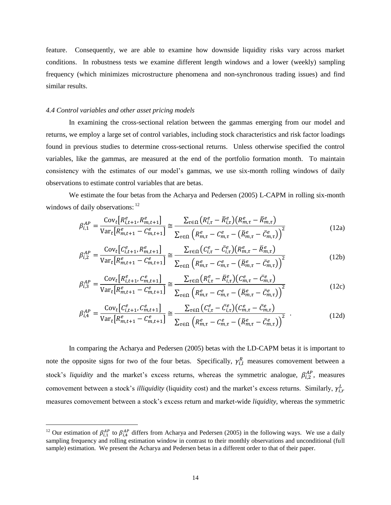feature. Consequently, we are able to examine how downside liquidity risks vary across market conditions. In robustness tests we examine different length windows and a lower (weekly) sampling frequency (which minimizes microstructure phenomena and non-synchronous trading issues) and find similar results.

### *4.4 Control variables and other asset pricing models*

-

In examining the cross-sectional relation between the gammas emerging from our model and returns, we employ a large set of control variables, including stock characteristics and risk factor loadings found in previous studies to determine cross-sectional returns. Unless otherwise specified the control variables, like the gammas, are measured at the end of the portfolio formation month. To maintain consistency with the estimates of our model's gammas, we use six-month rolling windows of daily observations to estimate control variables that are betas.

We estimate the four betas from the Acharya and Pedersen (2005) L-CAPM in rolling six-month windows of daily observations: <sup>12</sup>

$$
\beta_{i,1}^{AP} = \frac{\text{Cov}_{t}[R_{i,t+1}^{e}, R_{m,t+1}^{e}]}{\text{Var}_{t}[R_{m,t+1}^{e} - C_{m,t+1}^{e}]}\cong \frac{\sum_{\tau \in \Omega} (R_{i,\tau}^{e} - \bar{R}_{i,\tau}^{e}) (R_{m,\tau}^{e} - \bar{R}_{m,\tau}^{e})}{\sum_{\tau \in \Omega} (R_{m,\tau}^{e} - C_{m,\tau}^{e} - (\bar{R}_{m,\tau}^{e} - \bar{C}_{m,\tau}^{e}))^{2}}
$$
(12a)

$$
\beta_{i,2}^{AP} = \frac{\text{Cov}_{t}[C_{i,t+1}^{e}, R_{m,t+1}^{e}]}{\text{Var}_{t}[R_{m,t+1}^{e} - C_{m,t+1}^{e}]}\cong \frac{\sum_{\tau \in \Omega} (C_{i,\tau}^{e} - \bar{C}_{i,\tau}^{e}) (R_{m,\tau}^{e} - \bar{R}_{m,\tau}^{e})}{\sum_{\tau \in \Omega} (R_{m,\tau}^{e} - C_{m,\tau}^{e} - (\bar{R}_{m,\tau}^{e} - \bar{C}_{m,\tau}^{e}))^{2}}
$$
(12b)

$$
\beta_{i,3}^{AP} = \frac{\text{Cov}_{t}[R_{i,t+1}^{e}, C_{m,t+1}^{e}]}{\text{Var}_{t}[R_{m,t+1}^{e} - C_{m,t+1}^{e}]}\cong \frac{\sum_{\tau \in \Omega} (R_{i,\tau}^{e} - \bar{R}_{i,\tau}^{e}) (C_{m,\tau}^{e} - \bar{C}_{m,\tau}^{e})}{\sum_{\tau \in \Omega} (R_{m,\tau}^{e} - C_{m,\tau}^{e} - (\bar{R}_{m,\tau}^{e} - \bar{C}_{m,\tau}^{e}))^{2}}
$$
(12c)

$$
\beta_{i,4}^{AP} = \frac{\text{Cov}_{t}[C_{i,t+1}^{e}, C_{m,t+1}^{e}]}{\text{Var}_{t}[R_{m,t+1}^{e} - C_{m,t+1}^{e}]}\cong \frac{\sum_{\tau \in \Omega} (C_{i,\tau}^{e} - \bar{C}_{i,\tau}^{e}) (C_{m,\tau}^{e} - \bar{C}_{m,\tau}^{e})}{\sum_{\tau \in \Omega} (R_{m,\tau}^{e} - C_{m,\tau}^{e} - (\bar{R}_{m,\tau}^{e} - \bar{C}_{m,\tau}^{e}))^{2}}.
$$
\n(12d)

In comparing the Acharya and Pedersen (2005) betas with the LD-CAPM betas it is important to note the opposite signs for two of the four betas. Specifically,  $\gamma_{i,l}^R$  measures comovement between a stock's *liquidity* and the market's excess returns, whereas the symmetric analogue,  $\beta_{i,2}^{AP}$ , measures comovement between a stock's *illiquidity* (liquidity cost) and the market's excess returns. Similarly,  $\gamma_{i,r}^L$ measures comovement between a stock's excess return and market-wide *liquidity*, whereas the symmetric

<sup>&</sup>lt;sup>12</sup> Our estimation of  $\beta_{i,1}^{AP}$  to  $\beta_{i,4}^{AP}$  differs from [Acharya and Pedersen \(2005\)](#page-34-0) in the following ways. We use a daily sampling frequency and rolling estimation window in contrast to their monthly observations and unconditional (full sample) estimation. We present the Acharya and Pedersen betas in a different order to that of their paper.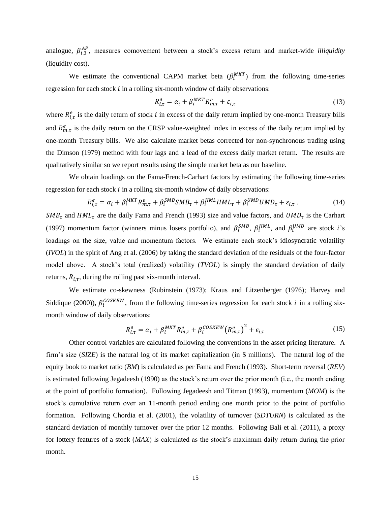analogue,  $\beta_{i,3}^{AP}$ , measures comovement between a stock's excess return and market-wide *illiquidity* (liquidity cost).

We estimate the conventional CAPM market beta  $(\beta_i^{MKT})$  from the following time-series regression for each stock  $i$  in a rolling six-month window of daily observations:

$$
R_{i,\tau}^e = \alpha_i + \beta_i^{MKT} R_{m,\tau}^e + \varepsilon_{i,\tau}
$$
\n(13)

where  $R_{i,\tau}^e$  is the daily return of stock *i* in excess of the daily return implied by one-month Treasury bills and  $R_{m,\tau}^e$  is the daily return on the CRSP value-weighted index in excess of the daily return implied by one-month Treasury bills. We also calculate market betas corrected for non-synchronous trading using the [Dimson \(1979\)](#page-36-8) method with four lags and a lead of the excess daily market return. The results are qualitatively similar so we report results using the simple market beta as our baseline.

We obtain loadings on the Fama-French-Carhart factors by estimating the following time-series regression for each stock  $i$  in a rolling six-month window of daily observations:

$$
R_{i,\tau}^{e} = \alpha_i + \beta_i^{MKT} R_{m,\tau}^{e} + \beta_i^{SMB} SMB_{\tau} + \beta_i^{HML} HML_{\tau} + \beta_i^{UMD} UMD_{\tau} + \varepsilon_{i,\tau} \tag{14}
$$

 $SMB_{\tau}$  and  $HML_{\tau}$  are the daily [Fama and French \(1993\)](#page-36-1) size and value factors, and  $UMD_{\tau}$  is the Carhart (1997) momentum factor (winners minus losers portfolio), and  $\beta_i^{SMB}$ ,  $\beta_i^{HML}$ , and  $\beta_i^{UMD}$  are stock *i*'s loadings on the size, value and momentum factors. We estimate each stock's idiosyncratic volatility (*IVOL*) in the spirit of [Ang et al. \(2006\)](#page-34-9) by taking the standard deviation of the residuals of the four-factor model above. A stock's total (realized) volatility (*TVOL*) is simply the standard deviation of daily returns,  $R_{i,\tau}$ , during the rolling past six-month interval.

We estimate co-skewness [\(Rubinstein \(1973\);](#page-39-10) [Kraus and Litzenberger \(1976\);](#page-37-8) [Harvey and](#page-36-9)  Siddique (2000)),  $\beta_i^{COSKEW}$ , from the following time-series regression for each stock *i* in a rolling sixmonth window of daily observations:

$$
R_{i,\tau}^e = \alpha_i + \beta_i^{MKT} R_{m,\tau}^e + \beta_i^{COSKEW} (R_{m,\tau}^e)^2 + \varepsilon_{i,\tau}
$$
 (15)

Other control variables are calculated following the conventions in the asset pricing literature. A firm's size (*SIZE*) is the natural log of its market capitalization (in \$ millions). The natural log of the equity book to market ratio (*BM*) is calculated as per [Fama and French \(1993\).](#page-36-1) Short-term reversal (*REV*) is estimated following [Jegadeesh \(1990\)](#page-37-9) as the stock's return over the prior month (i.e., the month ending at the point of portfolio formation). Following [Jegadeesh and Titman \(1993\),](#page-37-10) momentum (*MOM*) is the stock's cumulative return over an 11-month period ending one month prior to the point of portfolio formation. Following [Chordia et al. \(2001\),](#page-35-3) the volatility of turnover (*SDTURN*) is calculated as the standard deviation of monthly turnover over the prior 12 months. Following [Bali et al. \(2011\),](#page-34-10) a proxy for lottery features of a stock (*MAX*) is calculated as the stock's maximum daily return during the prior month.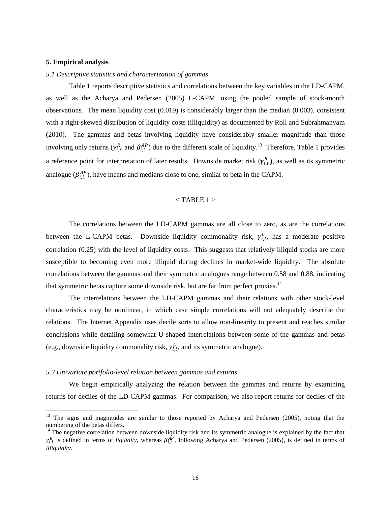#### **5. Empirical analysis**

-

# *5.1 Descriptive statistics and characterization of gammas*

Table 1 reports descriptive statistics and correlations between the key variables in the LD-CAPM, as well as the Acharya and Pedersen (2005) L-CAPM, using the pooled sample of stock-month observations. The mean liquidity cost (0.019) is considerably larger than the median (0.003), consistent with a right-skewed distribution of liquidity costs (illiquidity) as documented by [Roll and Subrahmanyam](#page-39-1)  (2010). The gammas and betas involving liquidity have considerably smaller magnitude than those involving only returns ( $\gamma_{i,r}^R$  and  $\beta_{i,1}^{AP}$ ) due to the different scale of liquidity.<sup>13</sup> Therefore, Table 1 provides a reference point for interpretation of later results. Downside market risk  $(\gamma_{i,r}^R)$ , as well as its symmetric analogue ( $\beta_{i,1}^{AP}$ ), have means and medians close to one, similar to beta in the CAPM.

# $<$  TABLE 1  $>$

The correlations between the LD-CAPM gammas are all close to zero, as are the correlations between the L-CAPM betas. Downside liquidity commonality risk,  $\gamma_{i,l}^L$ , has a moderate positive correlation (0.25) with the level of liquidity costs. This suggests that relatively illiquid stocks are more susceptible to becoming even more illiquid during declines in market-wide liquidity. The absolute correlations between the gammas and their symmetric analogues range between 0.58 and 0.88, indicating that symmetric betas capture some downside risk, but are far from perfect proxies.<sup>14</sup>

The interrelations between the LD-CAPM gammas and their relations with other stock-level characteristics may be nonlinear, in which case simple correlations will not adequately describe the relations. The Internet Appendix uses decile sorts to allow non-linearity to present and reaches similar conclusions while detailing somewhat U-shaped interrelations between some of the gammas and betas (e.g., downside liquidity commonality risk,  $\gamma_{i,l}^L$ , and its symmetric analogue).

## *5.2 Univariate portfolio-level relation between gammas and returns*

We begin empirically analyzing the relation between the gammas and returns by examining returns for deciles of the LD-CAPM gammas. For comparison, we also report returns for deciles of the

<sup>&</sup>lt;sup>13</sup> The signs and magnitudes are similar to those reported by Acharya and Pedersen (2005), noting that the numbering of the betas differs.

 $14$  The negative correlation between downside liquidity risk and its symmetric analogue is explained by the fact that  $\gamma_{i,l}^R$  is defined in terms of *liquidity*, whereas  $\beta_{i,2}^{AP}$ , following Acharya and Pedersen (2005), is defined in terms of *illiquidity*.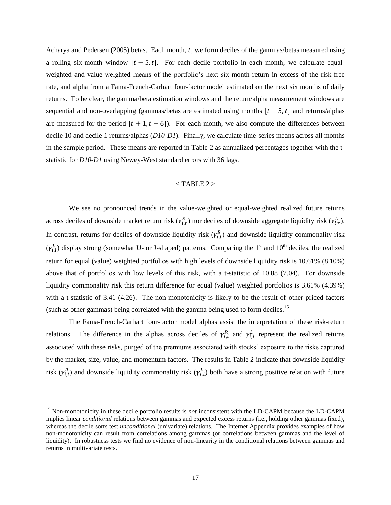Acharya and Pedersen (2005) betas. Each month,  $t$ , we form deciles of the gammas/betas measured using a rolling six-month window  $[t - 5, t]$ . For each decile portfolio in each month, we calculate equalweighted and value-weighted means of the portfolio's next six-month return in excess of the risk-free rate, and alpha from a Fama-French-Carhart four-factor model estimated on the next six months of daily returns. To be clear, the gamma/beta estimation windows and the return/alpha measurement windows are sequential and non-overlapping (gammas/betas are estimated using months  $[t - 5, t]$  and returns/alphas are measured for the period  $[t + 1, t + 6]$ . For each month, we also compute the differences between decile 10 and decile 1 returns/alphas (*D10-D1*). Finally, we calculate time-series means across all months in the sample period. These means are reported in Table 2 as annualized percentages together with the tstatistic for *D10-D1* using Newey-West standard errors with 36 lags.

# $<$  TABLE 2  $>$

We see no pronounced trends in the value-weighted or equal-weighted realized future returns across deciles of downside market return risk  $(\gamma_{i,r}^R)$  nor deciles of downside aggregate liquidity risk  $(\gamma_{i,r}^L)$ . In contrast, returns for deciles of downside liquidity risk  $(\gamma_{i,l}^R)$  and downside liquidity commonality risk  $(\gamma_{i,l}^L)$  display strong (somewhat U- or J-shaped) patterns. Comparing the 1<sup>st</sup> and 10<sup>th</sup> deciles, the realized return for equal (value) weighted portfolios with high levels of downside liquidity risk is 10.61% (8.10%) above that of portfolios with low levels of this risk, with a t-statistic of 10.88 (7.04). For downside liquidity commonality risk this return difference for equal (value) weighted portfolios is 3.61% (4.39%) with a t-statistic of 3.41 (4.26). The non-monotonicity is likely to be the result of other priced factors (such as other gammas) being correlated with the gamma being used to form deciles.<sup>15</sup>

The Fama-French-Carhart four-factor model alphas assist the interpretation of these risk-return relations. The difference in the alphas across deciles of  $\gamma_{i,l}^R$  and  $\gamma_{i,l}^L$  represent the realized returns associated with these risks, purged of the premiums associated with stocks' exposure to the risks captured by the market, size, value, and momentum factors. The results in Table 2 indicate that downside liquidity risk ( $\gamma_{i,l}^R$ ) and downside liquidity commonality risk ( $\gamma_{i,l}^L$ ) both have a strong positive relation with future

-

<sup>&</sup>lt;sup>15</sup> Non-monotonicity in these decile portfolio results is *not* inconsistent with the LD-CAPM because the LD-CAPM implies linear *conditional* relations between gammas and expected excess returns (i.e., holding other gammas fixed), whereas the decile sorts test *unconditional* (univariate) relations. The Internet Appendix provides examples of how non-monotonicity can result from correlations among gammas (or correlations between gammas and the level of liquidity). In robustness tests we find no evidence of non-linearity in the conditional relations between gammas and returns in multivariate tests.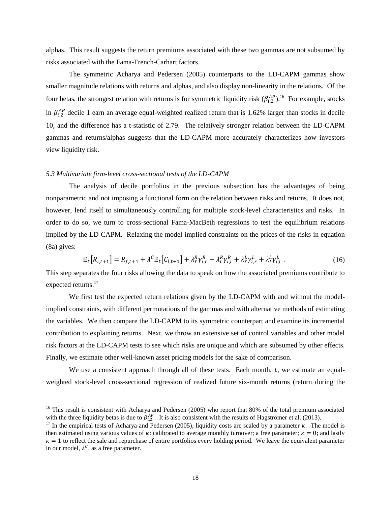alphas. This result suggests the return premiums associated with these two gammas are not subsumed by risks associated with the Fama-French-Carhart factors.

The symmetric Acharya and Pedersen (2005) counterparts to the LD-CAPM gammas show smaller magnitude relations with returns and alphas, and also display non-linearity in the relations. Of the four betas, the strongest relation with returns is for symmetric liquidity risk  $(\beta_{i,2}^{AP})$ .<sup>16</sup> For example, stocks in  $\beta_{i,2}^{AP}$  decile 1 earn an average equal-weighted realized return that is 1.62% larger than stocks in decile 10, and the difference has a t-statistic of 2.79. The relatively stronger relation between the LD-CAPM gammas and returns/alphas suggests that the LD-CAPM more accurately characterizes how investors view liquidity risk.

# *5.3 Multivariate firm-level cross-sectional tests of the LD-CAPM*

1

The analysis of decile portfolios in the previous subsection has the advantages of being nonparametric and not imposing a functional form on the relation between risks and returns. It does not, however, lend itself to simultaneously controlling for multiple stock-level characteristics and risks. In order to do so, we turn to cross-sectional Fama-MacBeth regressions to test the equilibrium relations implied by the LD-CAPM. Relaxing the model-implied constraints on the prices of the risks in equation (8a) gives:

$$
\mathbb{E}_{t}[R_{i,t+1}] = R_{f,t+1} + \lambda^{C} \mathbb{E}_{t}[C_{i,t+1}] + \lambda_{r}^{R} \gamma_{i,r}^{R} + \lambda_{l}^{R} \gamma_{i,l}^{R} + \lambda_{r}^{L} \gamma_{i,r}^{L} + \lambda_{l}^{L} \gamma_{i,l}^{L}.
$$
\n(16)

This step separates the four risks allowing the data to speak on how the associated premiums contribute to expected returns.<sup>17</sup>

We first test the expected return relations given by the LD-CAPM with and without the modelimplied constraints, with different permutations of the gammas and with alternative methods of estimating the variables. We then compare the LD-CAPM to its symmetric counterpart and examine its incremental contribution to explaining returns. Next, we throw an extensive set of control variables and other model risk factors at the LD-CAPM tests to see which risks are unique and which are subsumed by other effects. Finally, we estimate other well-known asset pricing models for the sake of comparison.

We use a consistent approach through all of these tests. Each month,  $t$ , we estimate an equalweighted stock-level cross-sectional regression of realized future six-month returns (return during the

<sup>&</sup>lt;sup>16</sup> This result is consistent with Acharya and Pedersen (2005) who report that 80% of the total premium associated with the three liquidity betas is due to  $\beta_{i,2}^{AP}$ . It is also consistent with the results of [Hagströmer et al. \(2013\).](#page-36-3)

<sup>&</sup>lt;sup>17</sup> In the empirical tests of [Acharya and Pedersen \(2005\),](#page-34-0) liquidity costs are scaled by a parameter  $\kappa$ . The model is then estimated using various values of  $\kappa$ : calibrated to average monthly turnover; a free parameter;  $\kappa = 0$ ; and lastly  $\kappa = 1$  to reflect the sale and repurchase of entire portfolios every holding period. We leave the equivalent parameter in our model,  $\lambda^c$ , as a free parameter.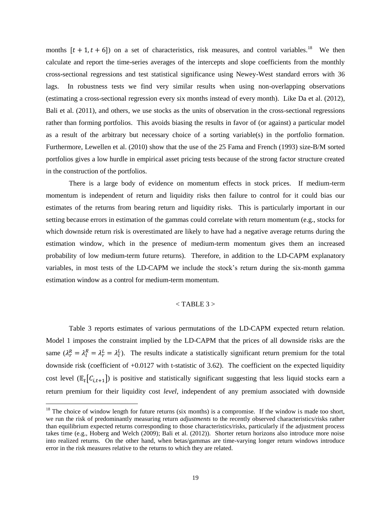months  $[t + 1, t + 6]$  on a set of characteristics, risk measures, and control variables.<sup>18</sup> We then calculate and report the time-series averages of the intercepts and slope coefficients from the monthly cross-sectional regressions and test statistical significance using Newey-West standard errors with 36 lags. In robustness tests we find very similar results when using non-overlapping observations (estimating a cross-sectional regression every six months instead of every month). Like [Da et al. \(2012\),](#page-35-13) [Bali et al. \(2011\),](#page-34-10) and others, we use stocks as the units of observation in the cross-sectional regressions rather than forming portfolios. This avoids biasing the results in favor of (or against) a particular model as a result of the arbitrary but necessary choice of a sorting variable(s) in the portfolio formation. Furthermore, [Lewellen et al. \(2010\)](#page-38-12) show that the use of the 25 [Fama and French \(1993\)](#page-36-1) size-B/M sorted portfolios gives a low hurdle in empirical asset pricing tests because of the strong factor structure created in the construction of the portfolios.

There is a large body of evidence on momentum effects in stock prices. If medium-term momentum is independent of return and liquidity risks then failure to control for it could bias our estimates of the returns from bearing return and liquidity risks. This is particularly important in our setting because errors in estimation of the gammas could correlate with return momentum (e.g., stocks for which downside return risk is overestimated are likely to have had a negative average returns during the estimation window, which in the presence of medium-term momentum gives them an increased probability of low medium-term future returns). Therefore, in addition to the LD-CAPM explanatory variables, in most tests of the LD-CAPM we include the stock's return during the six-month gamma estimation window as a control for medium-term momentum.

# $<$  TABLE 3  $>$

Table 3 reports estimates of various permutations of the LD-CAPM expected return relation. Model 1 imposes the constraint implied by the LD-CAPM that the prices of all downside risks are the same  $(\lambda_r^R = \lambda_l^R = \lambda_r^L = \lambda_l^L)$ . The results indicate a statistically significant return premium for the total downside risk (coefficient of +0.0127 with t-statistic of 3.62). The coefficient on the expected liquidity cost level  $(\mathbb{E}_{t} [C_{i,t+1}])$  is positive and statistically significant suggesting that less liquid stocks earn a return premium for their liquidity cost *level*, independent of any premium associated with downside

-

 $18$  The choice of window length for future returns (six months) is a compromise. If the window is made too short, we run the risk of predominantly measuring return *adjustments* to the recently observed characteristics/risks rather than equilibrium expected returns corresponding to those characteristics/risks, particularly if the adjustment process takes time (e.g., [Hoberg and Welch \(2009\);](#page-37-11) [Bali et al. \(2012\)\)](#page-34-11). Shorter return horizons also introduce more noise into realized returns. On the other hand, when betas/gammas are time-varying longer return windows introduce error in the risk measures relative to the returns to which they are related.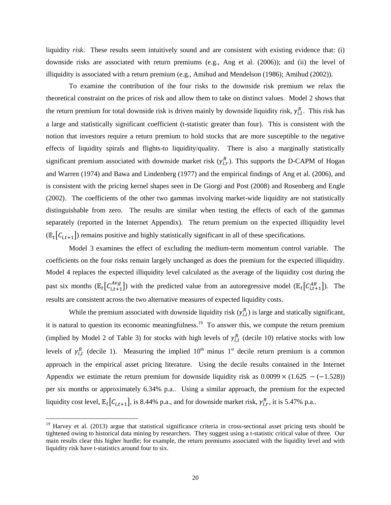liquidity *risk*. These results seem intuitively sound and are consistent with existing evidence that: (i) downside risks are associated with return premiums (e.g., [Ang et al. \(2006\)\)](#page-34-12); and (ii) the level of illiquidity is associated with a return premium (e.g., [Amihud and Mendelson \(1986\);](#page-34-13) [Amihud \(2002\)\)](#page-34-7).

To examine the contribution of the four risks to the downside risk premium we relax the theoretical constraint on the prices of risk and allow them to take on distinct values. Model 2 shows that the return premium for total downside risk is driven mainly by downside liquidity risk,  $\gamma_{i,l}^R$ . This risk has a large and statistically significant coefficient (t-statistic greater than four). This is consistent with the notion that investors require a return premium to hold stocks that are more susceptible to the negative effects of liquidity spirals and flights-to liquidity/quality. There is also a marginally statistically significant premium associated with downside market risk  $(\gamma_{i,r}^R)$ . This supports the D-CAPM of Hogan and Warren (1974) and [Bawa and Lindenberg \(1977\)](#page-35-1) and the empirical findings of Ang et al. (2006), and is consistent with the pricing kernel shapes seen in [De Giorgi and Post \(2008\)](#page-35-7) and [Rosenberg and Engle](#page-39-5)  (2002). The coefficients of the other two gammas involving market-wide liquidity are not statistically distinguishable from zero. The results are similar when testing the effects of each of the gammas separately (reported in the Internet Appendix). The return premium on the expected illiquidity level  $(E_t[C_{i,t+1}])$  remains positive and highly statistically significant in all of these specifications.

Model 3 examines the effect of excluding the medium-term momentum control variable. The coefficients on the four risks remain largely unchanged as does the premium for the expected illiquidity. Model 4 replaces the expected illiquidity level calculated as the average of the liquidity cost during the past six months ( $\mathbb{E}_t[C_{i,t+1}^{Avg}]$ ) with the predicted value from an autoregressive model ( $\mathbb{E}_t[C_{i,t+1}^{AR}]$ ). The results are consistent across the two alternative measures of expected liquidity costs.

While the premium associated with downside liquidity risk  $(\gamma_{i,l}^R)$  is large and statically significant, it is natural to question its economic meaningfulness.<sup>19</sup> To answer this, we compute the return premium (implied by Model 2 of Table 3) for stocks with high levels of  $\gamma_{i,l}^R$  (decile 10) relative stocks with low levels of  $\gamma_{i,l}^R$  (decile 1). Measuring the implied 10<sup>th</sup> minus 1<sup>st</sup> decile return premium is a common approach in the empirical asset pricing literature. Using the decile results contained in the Internet Appendix we estimate the return premium for downside liquidity risk as  $0.0099 \times (1.625 - (-1.528))$ per six months or approximately 6.34% p.a.. Using a similar approach, the premium for the expected liquidity cost level,  $\mathbb{E}_t[C_{i,t+1}]$ , is 8.44% p.a., and for downside market risk,  $\gamma_{i,r}^R$ , it is 5.47% p.a..

1

<sup>&</sup>lt;sup>19</sup> [Harvey et al. \(2013\)](#page-36-10) argue that statistical significance criteria in cross-sectional asset pricing tests should be tightened owing to historical data mining by researchers. They suggest using a t-statistic critical value of three. Our main results clear this higher hurdle; for example, the return premiums associated with the liquidity level and with liquidity risk have t-statistics around four to six.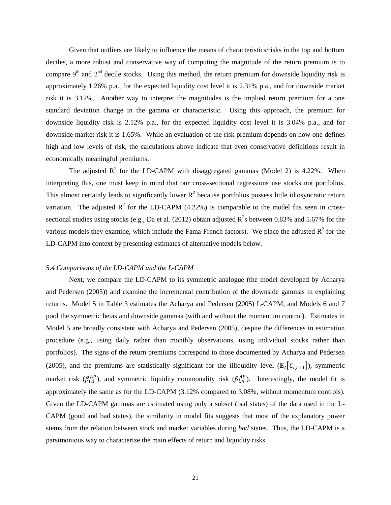Given that outliers are likely to influence the means of characteristics/risks in the top and bottom deciles, a more robust and conservative way of computing the magnitude of the return premium is to compare  $9<sup>th</sup>$  and  $2<sup>nd</sup>$  decile stocks. Using this method, the return premium for downside liquidity risk is approximately 1.26% p.a., for the expected liquidity cost level it is 2.31% p.a., and for downside market risk it is 3.12%. Another way to interpret the magnitudes is the implied return premium for a one standard deviation change in the gamma or characteristic. Using this approach, the premium for downside liquidity risk is 2.12% p.a., for the expected liquidity cost level it is 3.04% p.a., and for downside market risk it is 1.65%. While an evaluation of the risk premium depends on how one defines high and low levels of risk, the calculations above indicate that even conservative definitions result in economically meaningful premiums.

The adjusted  $R^2$  for the LD-CAPM with disaggregated gammas (Model 2) is 4.22%. When interpreting this, one must keep in mind that our cross-sectional regressions use stocks not portfolios. This almost certainly leads to significantly lower  $R^2$  because portfolios possess little idiosyncratic return variation. The adjusted  $\mathbb{R}^2$  for the LD-CAPM (4.22%) is comparable to the model fits seen in cross-sectional studies using stocks (e.g., [Da et al. \(2012\)](#page-35-13) obtain adjusted  $R^2$ s between 0.83% and 5.67% for the various models they examine, which include the Fama-French factors). We place the adjusted  $R^2$  for the LD-CAPM into context by presenting estimates of alternative models below.

#### *5.4 Comparisons of the LD-CAPM and the L-CAPM*

Next, we compare the LD-CAPM to its symmetric analogue (the model developed by Acharya and Pedersen (2005)) and examine the incremental contribution of the downside gammas in explaining returns. Model 5 in Table 3 estimates the [Acharya and Pedersen \(2005\)](#page-34-0) L-CAPM, and Models 6 and 7 pool the symmetric betas and downside gammas (with and without the momentum control). Estimates in Model 5 are broadly consistent with [Acharya and Pedersen \(2005\),](#page-34-0) despite the differences in estimation procedure (e.g., using daily rather than monthly observations, using individual stocks rather than portfolios). The signs of the return premiums correspond to those documented by [Acharya and Pedersen](#page-34-0)  (2005), and the premiums are statistically significant for the illiquidity level ( $\mathbb{E}_t[C_{i,t+1}]$ ), symmetric market risk  $(\beta_{i,1}^{AP})$ , and symmetric liquidity commonality risk  $(\beta_{i,4}^{AP})$ . Interestingly, the model fit is approximately the same as for the LD-CAPM (3.12% compared to 3.08%, without momentum controls). Given the LD-CAPM gammas are estimated using only a subset (bad states) of the data used in the L-CAPM (good and bad states), the similarity in model fits suggests that most of the explanatory power stems from the relation between stock and market variables during *bad* states. Thus, the LD-CAPM is a parsimonious way to characterize the main effects of return and liquidity risks.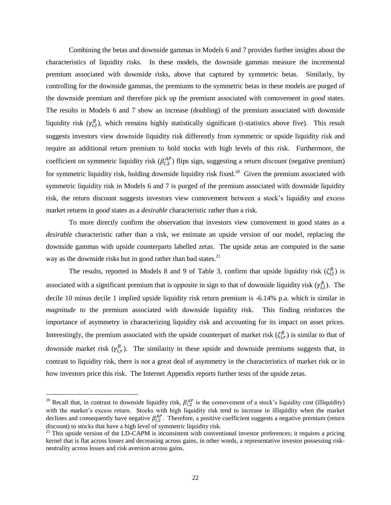Combining the betas and downside gammas in Models 6 and 7 provides further insights about the characteristics of liquidity risks. In these models, the downside gammas measure the incremental premium associated with downside risks, above that captured by symmetric betas. Similarly, by controlling for the downside gammas, the premiums to the symmetric betas in these models are purged of the downside premium and therefore pick up the premium associated with comovement in *good* states. The results in Models 6 and 7 show an increase (doubling) of the premium associated with downside liquidity risk  $(\gamma_{i,l}^R)$ , which remains highly statistically significant (t-statistics above five). This result suggests investors view downside liquidity risk differently from symmetric or upside liquidity risk and require an additional return premium to hold stocks with high levels of this risk. Furthermore, the coefficient on symmetric liquidity risk  $(\beta_{i,2}^{AP})$  flips sign, suggesting a return *discount* (negative premium) for symmetric liquidity risk, holding downside liquidity risk fixed.<sup>20</sup> Given the premium associated with symmetric liquidity risk in Models 6 and 7 is purged of the premium associated with downside liquidity risk, the return discount suggests investors view comovement between a stock's liquidity and excess market returns in *good* states as a *desirable* characteristic rather than a risk.

To more directly confirm the observation that investors view comovement in good states as a *desirable* characteristic rather than a risk, we estimate an upside version of our model, replacing the downside gammas with upside counterparts labelled zetas. The upside zetas are computed in the same way as the downside risks but in good rather than bad states. $21$ 

The results, reported in Models 8 and 9 of Table 3, confirm that upside liquidity risk  $(\zeta_{i,l}^R)$  is associated with a significant premium that is *opposite* in sign to that of downside liquidity risk  $(\gamma_{i,l}^R)$ . The decile 10 minus decile 1 implied upside liquidity risk return premium is -6.14% p.a. which is similar in *magnitude* to the premium associated with downside liquidity risk. This finding reinforces the importance of asymmetry in characterizing liquidity risk and accounting for its impact on asset prices. Interestingly, the premium associated with the upside counterpart of market risk  $(\zeta_{i,r}^R)$  is similar to that of downside market risk  $(\gamma_{i,r}^R)$ . The similarity in these upside and downside premiums suggests that, in contrast to liquidity risk, there is not a great deal of asymmetry in the characteristics of market risk or in how investors price this risk. The Internet Appendix reports further tests of the upside zetas.

-

<sup>&</sup>lt;sup>20</sup> Recall that, in contrast to downside liquidity risk,  $\beta_{i,2}^{AP}$  is the comovement of a stock's liquidity *cost* (illiquidity) with the market's excess return. Stocks with high liquidity risk tend to increase in illiquidity when the market declines and consequently have negative  $\beta_{i,2}^{AP}$ . Therefore, a positive coefficient suggests a negative premium (return discount) to stocks that have a high level of symmetric liquidity risk.

<sup>&</sup>lt;sup>21</sup> This upside version of the LD-CAPM is inconsistent with conventional investor preferences; it requires a pricing kernel that is flat across losses and decreasing across gains, in other words, a representative investor possessing riskneutrality across losses and risk aversion across gains.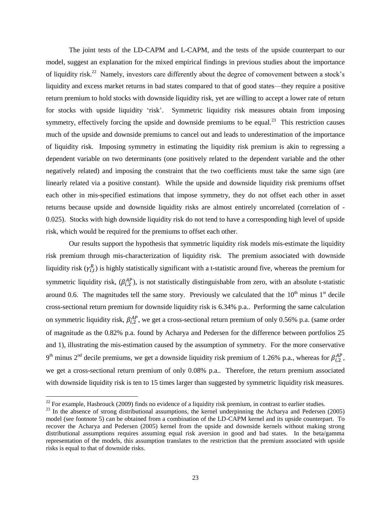The joint tests of the LD-CAPM and L-CAPM, and the tests of the upside counterpart to our model, suggest an explanation for the mixed empirical findings in previous studies about the importance of liquidity risk.<sup>22</sup> Namely, investors care differently about the degree of comovement between a stock's liquidity and excess market returns in bad states compared to that of good states—they require a positive return premium to hold stocks with downside liquidity risk, yet are willing to accept a lower rate of return for stocks with upside liquidity 'risk'. Symmetric liquidity risk measures obtain from imposing symmetry, effectively forcing the upside and downside premiums to be equal.<sup>23</sup> This restriction causes much of the upside and downside premiums to cancel out and leads to underestimation of the importance of liquidity risk. Imposing symmetry in estimating the liquidity risk premium is akin to regressing a dependent variable on two determinants (one positively related to the dependent variable and the other negatively related) and imposing the constraint that the two coefficients must take the same sign (are linearly related via a positive constant). While the upside and downside liquidity risk premiums offset each other in mis-specified estimations that impose symmetry, they do not offset each other in asset returns because upside and downside liquidity risks are almost entirely uncorrelated (correlation of - 0.025). Stocks with high downside liquidity risk do not tend to have a corresponding high level of upside risk, which would be required for the premiums to offset each other.

Our results support the hypothesis that symmetric liquidity risk models mis-estimate the liquidity risk premium through mis-characterization of liquidity risk. The premium associated with downside liquidity risk  $(\gamma_{i,l}^R)$  is highly statistically significant with a t-statistic around five, whereas the premium for symmetric liquidity risk,  $(\beta_{i,2}^{AP})$ , is not statistically distinguishable from zero, with an absolute t-statistic around 0.6. The magnitudes tell the same story. Previously we calculated that the  $10^{th}$  minus  $1^{st}$  decile cross-sectional return premium for downside liquidity risk is 6.34% p.a.. Performing the same calculation on symmetric liquidity risk,  $\beta_{i,2}^{AP}$ , we get a cross-sectional return premium of only 0.56% p.a. (same order of magnitude as the 0.82% p.a. found by Acharya and Pedersen for the difference between portfolios 25 and 1), illustrating the mis-estimation caused by the assumption of symmetry. For the more conservative 9<sup>th</sup> minus 2<sup>nd</sup> decile premiums, we get a downside liquidity risk premium of 1.26% p.a., whereas for  $\beta_{i,2}^{AP}$ , we get a cross-sectional return premium of only 0.08% p.a.. Therefore, the return premium associated with downside liquidity risk is ten to 15 times larger than suggested by symmetric liquidity risk measures.

-

 $^{22}$  For example, [Hasbrouck \(2009\)](#page-36-0) finds no evidence of a liquidity risk premium, in contrast to earlier studies.

<sup>&</sup>lt;sup>23</sup> In the absence of strong distributional assumptions, the kernel underpinning the [Acharya and Pedersen \(2005\)](#page-34-0) model (see footnote 5) can be obtained from a combination of the LD-CAPM kernel and its upside counterpart. To recover the [Acharya and Pedersen \(2005\)](#page-34-0) kernel from the upside and downside kernels without making strong distributional assumptions requires assuming equal risk aversion in good and bad states. In the beta/gamma representation of the models, this assumption translates to the restriction that the premium associated with upside risks is equal to that of downside risks.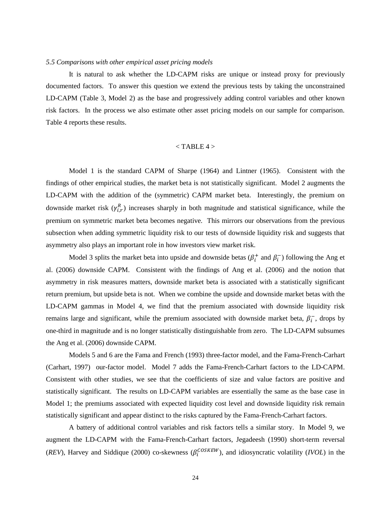## *5.5 Comparisons with other empirical asset pricing models*

It is natural to ask whether the LD-CAPM risks are unique or instead proxy for previously documented factors. To answer this question we extend the previous tests by taking the unconstrained LD-CAPM (Table 3, Model 2) as the base and progressively adding control variables and other known risk factors. In the process we also estimate other asset pricing models on our sample for comparison. Table 4 reports these results.

## $<$  TABLE 4  $>$

Model 1 is the standard CAPM of [Sharpe \(1964\)](#page-39-0) and [Lintner \(1965\).](#page-38-3) Consistent with the findings of other empirical studies, the market beta is not statistically significant. Model 2 augments the LD-CAPM with the addition of the (symmetric) CAPM market beta. Interestingly, the premium on downside market risk  $(\gamma_{i,r}^R)$  increases sharply in both magnitude and statistical significance, while the premium on symmetric market beta becomes negative. This mirrors our observations from the previous subsection when adding symmetric liquidity risk to our tests of downside liquidity risk and suggests that asymmetry also plays an important role in how investors view market risk.

Model 3 splits the market beta into upside and downside betas ( $\beta_i^+$  and  $\beta_i^-$ ) following the Ang et al. (2006) downside CAPM. Consistent with the findings of Ang et al. (2006) and the notion that asymmetry in risk measures matters, downside market beta is associated with a statistically significant return premium, but upside beta is not. When we combine the upside and downside market betas with the LD-CAPM gammas in Model 4, we find that the premium associated with downside liquidity risk remains large and significant, while the premium associated with downside market beta,  $\beta_i^-$ , drops by one-third in magnitude and is no longer statistically distinguishable from zero. The LD-CAPM subsumes the Ang et al. (2006) downside CAPM.

Models 5 and 6 are the [Fama and French \(1993\)](#page-36-1) three-factor model, and the Fama-French-Carhart [\(Carhart, 1997\)](#page-35-2) our-factor model. Model 7 adds the Fama-French-Carhart factors to the LD-CAPM. Consistent with other studies, we see that the coefficients of size and value factors are positive and statistically significant. The results on LD-CAPM variables are essentially the same as the base case in Model 1; the premiums associated with expected liquidity cost level and downside liquidity risk remain statistically significant and appear distinct to the risks captured by the Fama-French-Carhart factors.

A battery of additional control variables and risk factors tells a similar story. In Model 9, we augment the LD-CAPM with the Fama-French-Carhart factors, [Jegadeesh \(1990\)](#page-37-9) short-term reversal (*REV*), [Harvey and Siddique \(2000\)](#page-36-9) co-skewness ( $\beta_i^{COSKEW}$ ), and idiosyncratic volatility (*IVOL*) in the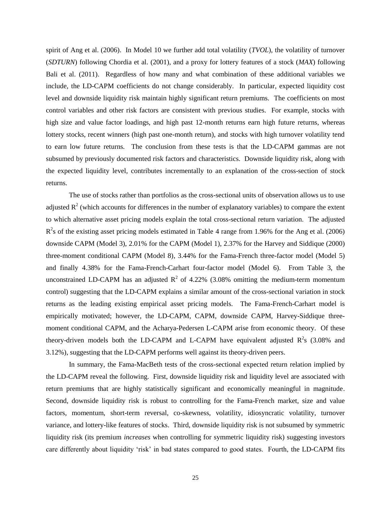spirit of [Ang et al. \(2006\).](#page-34-9) In Model 10 we further add total volatility (*TVOL*), the volatility of turnover (*SDTURN*) following [Chordia et al. \(2001\),](#page-35-3) and a proxy for lottery features of a stock (*MAX*) following Bali et [al. \(2011\).](#page-34-10) Regardless of how many and what combination of these additional variables we include, the LD-CAPM coefficients do not change considerably. In particular, expected liquidity cost level and downside liquidity risk maintain highly significant return premiums. The coefficients on most control variables and other risk factors are consistent with previous studies. For example, stocks with high size and value factor loadings, and high past 12-month returns earn high future returns, whereas lottery stocks, recent winners (high past one-month return), and stocks with high turnover volatility tend to earn low future returns. The conclusion from these tests is that the LD-CAPM gammas are not subsumed by previously documented risk factors and characteristics. Downside liquidity risk, along with the expected liquidity level, contributes incrementally to an explanation of the cross-section of stock returns.

The use of stocks rather than portfolios as the cross-sectional units of observation allows us to use adjusted  $R^2$  (which accounts for differences in the number of explanatory variables) to compare the extent to which alternative asset pricing models explain the total cross-sectional return variation. The adjusted  $R<sup>2</sup>s$  of the existing asset pricing models estimated in Table 4 range from 1.96% for the Ang et al. (2006) downside CAPM (Model 3), 2.01% for the CAPM (Model 1), 2.37% for the [Harvey and Siddique \(2000\)](#page-36-9) three-moment conditional CAPM (Model 8), 3.44% for the Fama-French three-factor model (Model 5) and finally 4.38% for the Fama-French-Carhart four-factor model (Model 6). From Table 3, the unconstrained LD-CAPM has an adjusted  $R^2$  of 4.22% (3.08% omitting the medium-term momentum control) suggesting that the LD-CAPM explains a similar amount of the cross-sectional variation in stock returns as the leading existing empirical asset pricing models. The Fama-French-Carhart model is empirically motivated; however, the LD-CAPM, CAPM, downside CAPM, Harvey-Siddique threemoment conditional CAPM, and the Acharya-Pedersen L-CAPM arise from economic theory. Of these theory-driven models both the LD-CAPM and L-CAPM have equivalent adjusted  $R^2$ s (3.08% and 3.12%), suggesting that the LD-CAPM performs well against its theory-driven peers.

In summary, the Fama-MacBeth tests of the cross-sectional expected return relation implied by the LD-CAPM reveal the following. First, downside liquidity risk and liquidity level are associated with return premiums that are highly statistically significant and economically meaningful in magnitude. Second, downside liquidity risk is robust to controlling for the Fama-French market, size and value factors, momentum, short-term reversal, co-skewness, volatility, idiosyncratic volatility, turnover variance, and lottery-like features of stocks. Third, downside liquidity risk is not subsumed by symmetric liquidity risk (its premium *increases* when controlling for symmetric liquidity risk) suggesting investors care differently about liquidity 'risk' in bad states compared to good states. Fourth, the LD-CAPM fits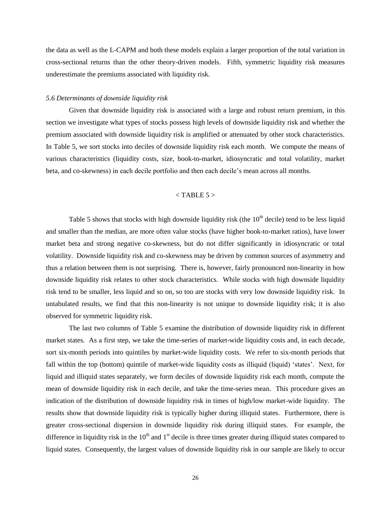the data as well as the L-CAPM and both these models explain a larger proportion of the total variation in cross-sectional returns than the other theory-driven models. Fifth, symmetric liquidity risk measures underestimate the premiums associated with liquidity risk.

#### *5.6 Determinants of downside liquidity risk*

Given that downside liquidity risk is associated with a large and robust return premium, in this section we investigate what types of stocks possess high levels of downside liquidity risk and whether the premium associated with downside liquidity risk is amplified or attenuated by other stock characteristics. In Table 5, we sort stocks into deciles of downside liquidity risk each month. We compute the means of various characteristics (liquidity costs, size, book-to-market, idiosyncratic and total volatility, market beta, and co-skewness) in each decile portfolio and then each decile's mean across all months.

# $<$  TABLE 5  $>$

Table 5 shows that stocks with high downside liquidity risk (the  $10<sup>th</sup>$  decile) tend to be less liquid and smaller than the median, are more often value stocks (have higher book-to-market ratios), have lower market beta and strong negative co-skewness, but do not differ significantly in idiosyncratic or total volatility. Downside liquidity risk and co-skewness may be driven by common sources of asymmetry and thus a relation between them is not surprising. There is, however, fairly pronounced non-linearity in how downside liquidity risk relates to other stock characteristics. While stocks with high downside liquidity risk tend to be smaller, less liquid and so on, so too are stocks with very low downside liquidity risk. In untabulated results, we find that this non-linearity is not unique to downside liquidity risk; it is also observed for symmetric liquidity risk.

The last two columns of Table 5 examine the distribution of downside liquidity risk in different market states. As a first step, we take the time-series of market-wide liquidity costs and, in each decade, sort six-month periods into quintiles by market-wide liquidity costs. We refer to six-month periods that fall within the top (bottom) quintile of market-wide liquidity costs as illiquid (liquid) 'states'. Next, for liquid and illiquid states separately, we form deciles of downside liquidity risk each month, compute the mean of downside liquidity risk in each decile, and take the time-series mean. This procedure gives an indication of the distribution of downside liquidity risk in times of high/low market-wide liquidity. The results show that downside liquidity risk is typically higher during illiquid states. Furthermore, there is greater cross-sectional dispersion in downside liquidity risk during illiquid states. For example, the difference in liquidity risk in the  $10<sup>th</sup>$  and  $1<sup>st</sup>$  decile is three times greater during illiquid states compared to liquid states. Consequently, the largest values of downside liquidity risk in our sample are likely to occur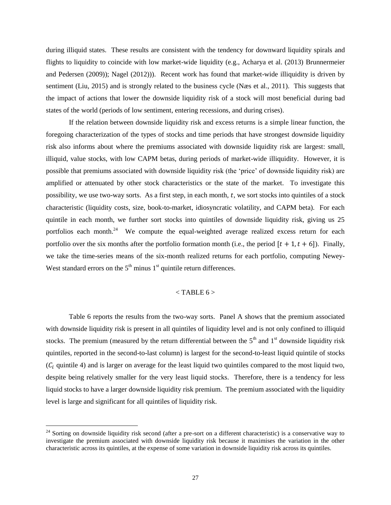during illiquid states. These results are consistent with the tendency for downward liquidity spirals and flights to liquidity to coincide with low market-wide liquidity (e.g., [Acharya et al. \(2013\)](#page-34-1) [Brunnermeier](#page-35-0)  [and Pedersen \(2009\)\)](#page-35-0); [Nagel \(2012\)\)](#page-38-2)). Recent work has found that market-wide illiquidity is driven by sentiment [\(Liu, 2015\)](#page-38-5) and is strongly related to the business cycle [\(Næs et al., 2011\)](#page-38-6). This suggests that the impact of actions that lower the downside liquidity risk of a stock will most beneficial during bad states of the world (periods of low sentiment, entering recessions, and during crises).

If the relation between downside liquidity risk and excess returns is a simple linear function, the foregoing characterization of the types of stocks and time periods that have strongest downside liquidity risk also informs about where the premiums associated with downside liquidity risk are largest: small, illiquid, value stocks, with low CAPM betas, during periods of market-wide illiquidity. However, it is possible that premiums associated with downside liquidity risk (the 'price' of downside liquidity risk) are amplified or attenuated by other stock characteristics or the state of the market. To investigate this possibility, we use two-way sorts. As a first step, in each month,  $t$ , we sort stocks into quintiles of a stock characteristic (liquidity costs, size, book-to-market, idiosyncratic volatility, and CAPM beta). For each quintile in each month, we further sort stocks into quintiles of downside liquidity risk, giving us 25 portfolios each month. $24$  We compute the equal-weighted average realized excess return for each portfolio over the six months after the portfolio formation month (i.e., the period  $[t + 1, t + 6]$ ). Finally, we take the time-series means of the six-month realized returns for each portfolio, computing Newey-West standard errors on the  $5<sup>th</sup>$  minus  $1<sup>st</sup>$  quintile return differences.

## $<$  TABLE 6  $>$

Table 6 reports the results from the two-way sorts. Panel A shows that the premium associated with downside liquidity risk is present in all quintiles of liquidity level and is not only confined to illiquid stocks. The premium (measured by the return differential between the  $5<sup>th</sup>$  and  $1<sup>st</sup>$  downside liquidity risk quintiles, reported in the second-to-last column) is largest for the second-to-least liquid quintile of stocks  $(C_i$  quintile 4) and is larger on average for the least liquid two quintiles compared to the most liquid two, despite being relatively smaller for the very least liquid stocks. Therefore, there is a tendency for less liquid stocks to have a larger downside liquidity risk premium. The premium associated with the liquidity level is large and significant for all quintiles of liquidity risk.

1

 $24$  Sorting on downside liquidity risk second (after a pre-sort on a different characteristic) is a conservative way to investigate the premium associated with downside liquidity risk because it maximises the variation in the other characteristic across its quintiles, at the expense of some variation in downside liquidity risk across its quintiles.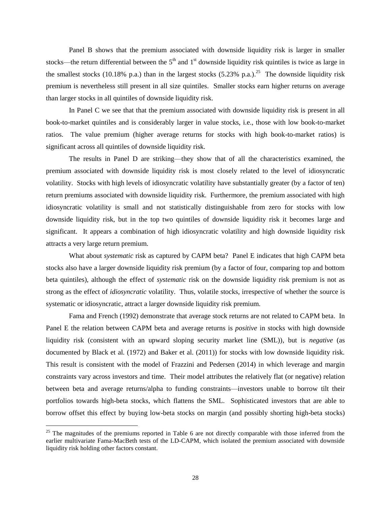Panel B shows that the premium associated with downside liquidity risk is larger in smaller stocks—the return differential between the  $5<sup>th</sup>$  and  $1<sup>st</sup>$  downside liquidity risk quintiles is twice as large in the smallest stocks (10.18% p.a.) than in the largest stocks  $(5.23\% \text{ p.a.})^{25}$  The downside liquidity risk premium is nevertheless still present in all size quintiles. Smaller stocks earn higher returns on average than larger stocks in all quintiles of downside liquidity risk.

In Panel C we see that that the premium associated with downside liquidity risk is present in all book-to-market quintiles and is considerably larger in value stocks, i.e., those with low book-to-market ratios. The value premium (higher average returns for stocks with high book-to-market ratios) is significant across all quintiles of downside liquidity risk.

The results in Panel D are striking—they show that of all the characteristics examined, the premium associated with downside liquidity risk is most closely related to the level of idiosyncratic volatility. Stocks with high levels of idiosyncratic volatility have substantially greater (by a factor of ten) return premiums associated with downside liquidity risk. Furthermore, the premium associated with high idiosyncratic volatility is small and not statistically distinguishable from zero for stocks with low downside liquidity risk, but in the top two quintiles of downside liquidity risk it becomes large and significant. It appears a combination of high idiosyncratic volatility and high downside liquidity risk attracts a very large return premium.

What about *systematic* risk as captured by CAPM beta? Panel E indicates that high CAPM beta stocks also have a larger downside liquidity risk premium (by a factor of four, comparing top and bottom beta quintiles), although the effect of *systematic* risk on the downside liquidity risk premium is not as strong as the effect of *idiosyncratic* volatility. Thus, volatile stocks, irrespective of whether the source is systematic or idiosyncratic, attract a larger downside liquidity risk premium.

[Fama and French \(1992\)](#page-36-11) demonstrate that average stock returns are not related to CAPM beta. In Panel E the relation between CAPM beta and average returns is *positive* in stocks with high downside liquidity risk (consistent with an upward sloping security market line (SML)), but is *negative* (as documented by [Black et al. \(1972\)](#page-35-14) and [Baker et al. \(2011\)\)](#page-34-14) for stocks with low downside liquidity risk. This result is consistent with the model of [Frazzini and Pedersen \(2014\)](#page-36-12) in which leverage and margin constraints vary across investors and time. Their model attributes the relatively flat (or negative) relation between beta and average returns/alpha to funding constraints—investors unable to borrow tilt their portfolios towards high-beta stocks, which flattens the SML. Sophisticated investors that are able to borrow offset this effect by buying low-beta stocks on margin (and possibly shorting high-beta stocks)

1

<sup>&</sup>lt;sup>25</sup> The magnitudes of the premiums reported in Table 6 are not directly comparable with those inferred from the earlier multivariate Fama-MacBeth tests of the LD-CAPM, which isolated the premium associated with downside liquidity risk holding other factors constant.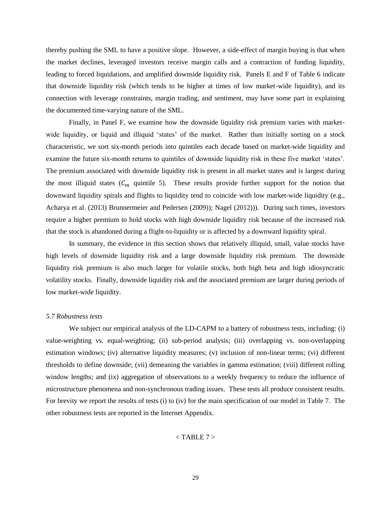thereby pushing the SML to have a positive slope. However, a side-effect of margin buying is that when the market declines, leveraged investors receive margin calls and a contraction of funding liquidity, leading to forced liquidations, and amplified downside liquidity risk. Panels E and F of Table 6 indicate that downside liquidity risk (which tends to be higher at times of low market-wide liquidity), and its connection with leverage constraints, margin trading, and sentiment, may have some part in explaining the documented time-varying nature of the SML.

Finally, in Panel F, we examine how the downside liquidity risk premium varies with marketwide liquidity, or liquid and illiquid 'states' of the market. Rather than initially sorting on a stock characteristic, we sort six-month periods into quintiles each decade based on market-wide liquidity and examine the future six-month returns to quintiles of downside liquidity risk in these five market 'states'. The premium associated with downside liquidity risk is present in all market states and is largest during the most illiquid states  $(C_m$  quintile 5). These results provide further support for the notion that downward liquidity spirals and flights to liquidity tend to coincide with low market-wide liquidity (e.g., [Acharya et al. \(2013\)](#page-34-1) [Brunnermeier and Pedersen \(2009\)\)](#page-35-0); [Nagel \(2012\)\)](#page-38-2)). During such times, investors require a higher premium to hold stocks with high downside liquidity risk because of the increased risk that the stock is abandoned during a flight-to-liquidity or is affected by a downward liquidity spiral.

In summary, the evidence in this section shows that relatively illiquid, small, value stocks have high levels of downside liquidity risk and a large downside liquidity risk premium. The downside liquidity risk premium is also much larger for volatile stocks, both high beta and high idiosyncratic volatility stocks. Finally, downside liquidity risk and the associated premium are larger during periods of low market-wide liquidity.

#### *5.7 Robustness tests*

We subject our empirical analysis of the LD-CAPM to a battery of robustness tests, including: (i) value-weighting vs. equal-weighting; (ii) sub-period analysis; (iii) overlapping vs. non-overlapping estimation windows; (iv) alternative liquidity measures; (v) inclusion of non-linear terms; (vi) different thresholds to define downside; (vii) demeaning the variables in gamma estimation; (viii) different rolling window lengths; and (ix) aggregation of observations to a weekly frequency to reduce the influence of microstructure phenomena and non-synchronous trading issues. These tests all produce consistent results. For brevity we report the results of tests (i) to (iv) for the main specification of our model in Table 7. The other robustness tests are reported in the Internet Appendix.

 $<$  TABLE 7  $>$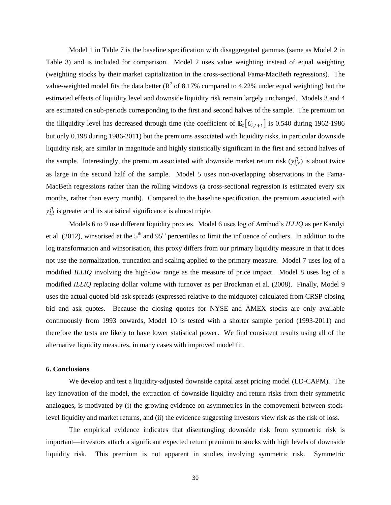Model 1 in Table 7 is the baseline specification with disaggregated gammas (same as Model 2 in Table 3) and is included for comparison. Model 2 uses value weighting instead of equal weighting (weighting stocks by their market capitalization in the cross-sectional Fama-MacBeth regressions). The value-weighted model fits the data better ( $\mathbb{R}^2$  of 8.17% compared to 4.22% under equal weighting) but the estimated effects of liquidity level and downside liquidity risk remain largely unchanged. Models 3 and 4 are estimated on sub-periods corresponding to the first and second halves of the sample. The premium on the illiquidity level has decreased through time (the coefficient of  $\mathbb{E}_t[C_{i,t+1}]$  is 0.540 during 1962-1986 but only 0.198 during 1986-2011) but the premiums associated with liquidity risks, in particular downside liquidity risk, are similar in magnitude and highly statistically significant in the first and second halves of the sample. Interestingly, the premium associated with downside market return risk  $(\gamma_{i,r}^R)$  is about twice as large in the second half of the sample. Model 5 uses non-overlapping observations in the Fama-MacBeth regressions rather than the rolling windows (a cross-sectional regression is estimated every six months, rather than every month). Compared to the baseline specification, the premium associated with  $\gamma_{i,l}^R$  is greater and its statistical significance is almost triple.

Models 6 to 9 use different liquidity proxies. Model 6 uses log of Amihud's *ILLIQ* as per [Karolyi](#page-37-12)  et al. (2012), winsorised at the  $5<sup>th</sup>$  and  $95<sup>th</sup>$  percentiles to limit the influence of outliers. In addition to the log transformation and winsorisation, this proxy differs from our primary liquidity measure in that it does not use the normalization, truncation and scaling applied to the primary measure. Model 7 uses log of a modified *ILLIQ* involving the high-low range as the measure of price impact. Model 8 uses log of a modified *ILLIQ* replacing dollar volume with turnover as per [Brockman et al. \(2008\).](#page-35-11) Finally, Model 9 uses the actual quoted bid-ask spreads (expressed relative to the midquote) calculated from CRSP closing bid and ask quotes. Because the closing quotes for NYSE and AMEX stocks are only available continuously from 1993 onwards, Model 10 is tested with a shorter sample period (1993-2011) and therefore the tests are likely to have lower statistical power. We find consistent results using all of the alternative liquidity measures, in many cases with improved model fit.

# **6. Conclusions**

We develop and test a liquidity-adjusted downside capital asset pricing model (LD-CAPM). The key innovation of the model, the extraction of downside liquidity and return risks from their symmetric analogues, is motivated by (i) the growing evidence on asymmetries in the comovement between stocklevel liquidity and market returns, and (ii) the evidence suggesting investors view risk as the risk of loss.

The empirical evidence indicates that disentangling downside risk from symmetric risk is important—investors attach a significant expected return premium to stocks with high levels of downside liquidity risk. This premium is not apparent in studies involving symmetric risk. Symmetric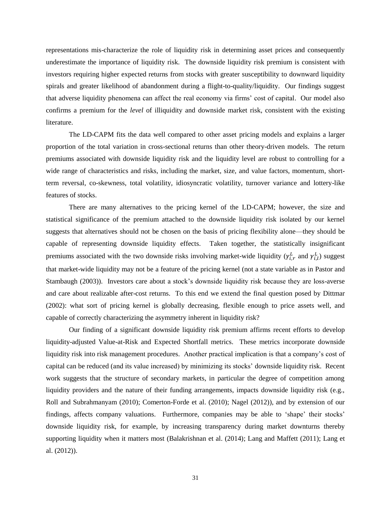representations mis-characterize the role of liquidity risk in determining asset prices and consequently underestimate the importance of liquidity risk. The downside liquidity risk premium is consistent with investors requiring higher expected returns from stocks with greater susceptibility to downward liquidity spirals and greater likelihood of abandonment during a flight-to-quality/liquidity. Our findings suggest that adverse liquidity phenomena can affect the real economy via firms' cost of capital. Our model also confirms a premium for the *level* of illiquidity and downside market risk, consistent with the existing literature.

The LD-CAPM fits the data well compared to other asset pricing models and explains a larger proportion of the total variation in cross-sectional returns than other theory-driven models. The return premiums associated with downside liquidity risk and the liquidity level are robust to controlling for a wide range of characteristics and risks, including the market, size, and value factors, momentum, shortterm reversal, co-skewness, total volatility, idiosyncratic volatility, turnover variance and lottery-like features of stocks.

There are many alternatives to the pricing kernel of the LD-CAPM; however, the size and statistical significance of the premium attached to the downside liquidity risk isolated by our kernel suggests that alternatives should not be chosen on the basis of pricing flexibility alone—they should be capable of representing downside liquidity effects. Taken together, the statistically insignificant premiums associated with the two downside risks involving market-wide liquidity  $(\gamma_{i,r}^L$  and  $\gamma_{i,l}^L)$  suggest that market-wide liquidity may not be a feature of the pricing kernel (not a state variable as in [Pastor and](#page-38-1)  Stambaugh (2003)). Investors care about a stock's downside liquidity risk because they are loss-averse and care about realizable after-cost returns. To this end we extend the final question posed by [Dittmar](#page-36-13)  (2002): what sort of pricing kernel is globally decreasing, flexible enough to price assets well, and capable of correctly characterizing the asymmetry inherent in liquidity risk?

Our finding of a significant downside liquidity risk premium affirms recent efforts to develop liquidity-adjusted Value-at-Risk and Expected Shortfall metrics. These metrics incorporate downside liquidity risk into risk management procedures. Another practical implication is that a company's cost of capital can be reduced (and its value increased) by minimizing its stocks' downside liquidity risk. Recent work suggests that the structure of secondary markets, in particular the degree of competition among liquidity providers and the nature of their funding arrangements, impacts downside liquidity risk (e.g., [Roll and Subrahmanyam \(2010\);](#page-39-1) [Comerton-Forde et al. \(2010\);](#page-35-4) [Nagel \(2012\)\)](#page-38-2), and by extension of our findings, affects company valuations. Furthermore, companies may be able to 'shape' their stocks' downside liquidity risk, for example, by increasing transparency during market downturns thereby supporting liquidity when it matters most [\(Balakrishnan et al. \(2014\);](#page-34-2) [Lang and Maffett \(2011\);](#page-38-13) [Lang et](#page-38-14)  al. (2012)).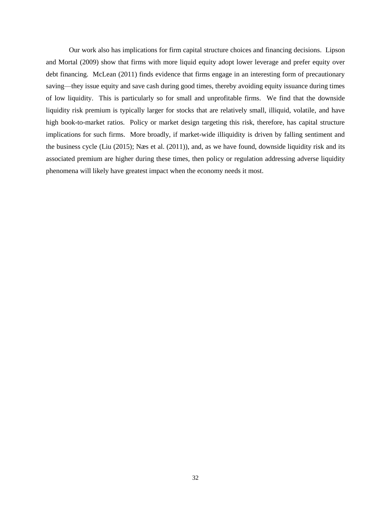Our work also has implications for firm capital structure choices and financing decisions. [Lipson](#page-38-15)  and Mortal (2009) show that firms with more liquid equity adopt lower leverage and prefer equity over debt financing. [McLean \(2011\)](#page-38-4) finds evidence that firms engage in an interesting form of precautionary saving—they issue equity and save cash during good times, thereby avoiding equity issuance during times of low liquidity. This is particularly so for small and unprofitable firms. We find that the downside liquidity risk premium is typically larger for stocks that are relatively small, illiquid, volatile, and have high book-to-market ratios. Policy or market design targeting this risk, therefore, has capital structure implications for such firms. More broadly, if market-wide illiquidity is driven by falling sentiment and the business cycle [\(Liu \(2015\);](#page-38-5) [Næs et al. \(2011\)\)](#page-38-6), and, as we have found, downside liquidity risk and its associated premium are higher during these times, then policy or regulation addressing adverse liquidity phenomena will likely have greatest impact when the economy needs it most.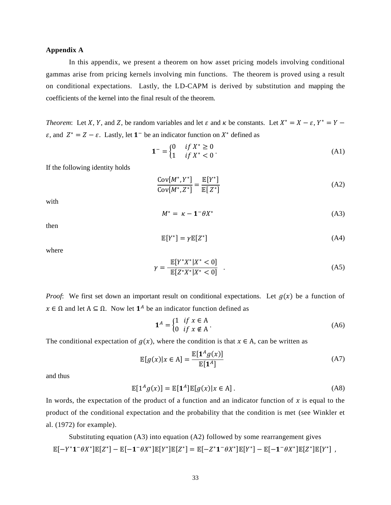# **Appendix A**

In this appendix, we present a theorem on how asset pricing models involving conditional gammas arise from pricing kernels involving min functions. The theorem is proved using a result on conditional expectations. Lastly, the LD-CAPM is derived by substitution and mapping the coefficients of the kernel into the final result of the theorem.

*Theorem*: Let X, Y, and Z, be random variables and let  $\varepsilon$  and  $\kappa$  be constants. Let  $X^* = X - \varepsilon$ ,  $Y^* = Y - \varepsilon$  $\varepsilon$ , and  $Z^* = Z - \varepsilon$ . Lastly, let **1**<sup>-</sup> be an indicator function on  $X^*$  defined as

$$
\mathbf{1}^- = \begin{cases} 0 & \text{if } X^* \ge 0 \\ 1 & \text{if } X^* < 0 \end{cases} \tag{A1}
$$

If the following identity holds

$$
\frac{\text{Cov}[M^*, Y^*]}{\text{Cov}[M^*, Z^*]} = \frac{\mathbb{E}[Y^*]}{\mathbb{E}[Z^*]}
$$
(A2)

with

$$
M^* = \kappa - \mathbf{1}^- \theta X^* \tag{A3}
$$

then

$$
\mathbb{E}[Y^*] = \gamma \mathbb{E}[Z^*] \tag{A4}
$$

where

$$
\gamma = \frac{\mathbb{E}[Y^*X^*|X^* < 0]}{\mathbb{E}[Z^*X^*|X^* < 0]} \tag{A5}
$$

*Proof*: We first set down an important result on conditional expectations. Let  $g(x)$  be a function of  $x \in \Omega$  and let  $A \subseteq \Omega$ . Now let  $\mathbf{1}^A$  be an indicator function defined as

$$
\mathbf{1}^A = \begin{cases} 1 & \text{if } x \in A \\ 0 & \text{if } x \notin A \end{cases} \tag{A6}
$$

The conditional expectation of  $g(x)$ , where the condition is that  $x \in A$ , can be written as

$$
\mathbb{E}[g(x)|x \in \mathcal{A}] = \frac{\mathbb{E}[\mathbf{1}^A g(x)]}{\mathbb{E}[\mathbf{1}^A]}
$$
(A7)

and thus

$$
\mathbb{E}[1^A g(x)] = \mathbb{E}[1^A] \mathbb{E}[g(x)|x \in \mathcal{A}]. \tag{A8}
$$

In words, the expectation of the product of a function and an indicator function of  $x$  is equal to the product of the conditional expectation and the probability that the condition is met (see [Winkler et](#page-39-11)  al. (1972) for example).

Substituting equation  $(A3)$  into equation  $(A2)$  followed by some rearrangement gives  $\mathbb{E}[-Y^* \mathbf{1}^- \theta X^*] \mathbb{E}[Z^*] - \mathbb{E}[-\mathbf{1}^- \theta X^*] \mathbb{E}[Y^*] \mathbb{E}[Z^*] = \mathbb{E}[-Z^* \mathbf{1}^- \theta X^*] \mathbb{E}[Y^*] - \mathbb{E}[-\mathbf{1}^- \theta X^*] \mathbb{E}[Z^*] \mathbb{E}[Y^*]$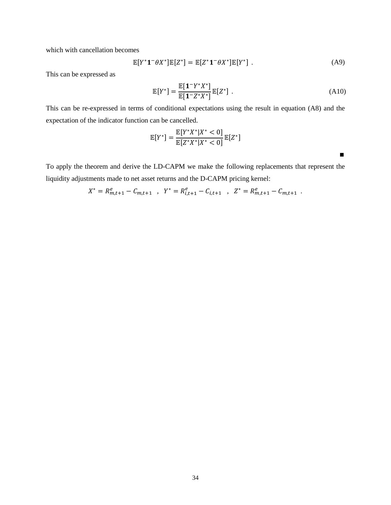which with cancellation becomes

$$
\mathbb{E}[Y^* \mathbf{1}^- \theta X^*] \mathbb{E}[Z^*] = \mathbb{E}[Z^* \mathbf{1}^- \theta X^*] \mathbb{E}[Y^*] . \tag{A9}
$$

This can be expressed as

$$
\mathbb{E}[Y^*] = \frac{\mathbb{E}[\mathbf{1}^{-}Y^*X^*]}{\mathbb{E}[\mathbf{1}^{-}Z^*X^*]} \mathbb{E}[Z^*] .
$$
\n(A10)

This can be re-expressed in terms of conditional expectations using the result in equation (A8) and the expectation of the indicator function can be cancelled.

$$
\mathbb{E}[Y^*] = \frac{\mathbb{E}[Y^*X^*|X^* < 0]}{\mathbb{E}[Z^*X^*|X^* < 0]} \mathbb{E}[Z^*]
$$

∎

To apply the theorem and derive the LD-CAPM we make the following replacements that represent the liquidity adjustments made to net asset returns and the D-CAPM pricing kernel:

$$
X^* = R_{m,t+1}^e - C_{m,t+1} \quad , \quad Y^* = R_{i,t+1}^e - C_{i,t+1} \quad , \quad Z^* = R_{m,t+1}^e - C_{m,t+1} \quad .
$$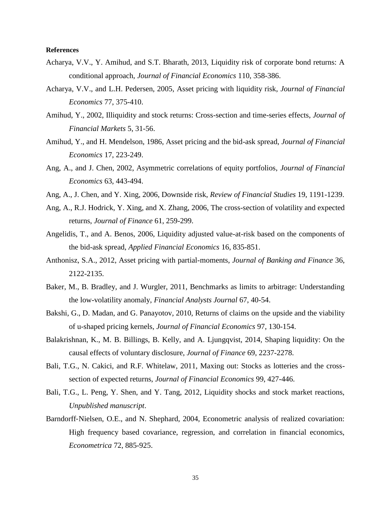# **References**

- <span id="page-34-1"></span>Acharya, V.V., Y. Amihud, and S.T. Bharath, 2013, Liquidity risk of corporate bond returns: A conditional approach, *Journal of Financial Economics* 110, 358-386.
- <span id="page-34-0"></span>Acharya, V.V., and L.H. Pedersen, 2005, Asset pricing with liquidity risk, *Journal of Financial Economics* 77, 375-410.
- <span id="page-34-7"></span>Amihud, Y., 2002, Illiquidity and stock returns: Cross-section and time-series effects, *Journal of Financial Markets* 5, 31-56.
- <span id="page-34-13"></span>Amihud, Y., and H. Mendelson, 1986, Asset pricing and the bid-ask spread, *Journal of Financial Economics* 17, 223-249.
- <span id="page-34-4"></span>Ang, A., and J. Chen, 2002, Asymmetric correlations of equity portfolios, *Journal of Financial Economics* 63, 443-494.
- <span id="page-34-12"></span>Ang, A., J. Chen, and Y. Xing, 2006, Downside risk, *Review of Financial Studies* 19, 1191-1239.
- <span id="page-34-9"></span>Ang, A., R.J. Hodrick, Y. Xing, and X. Zhang, 2006, The cross-section of volatility and expected returns, *Journal of Finance* 61, 259-299.
- <span id="page-34-3"></span>Angelidis, T., and A. Benos, 2006, Liquidity adjusted value-at-risk based on the components of the bid-ask spread, *Applied Financial Economics* 16, 835-851.
- <span id="page-34-6"></span>Anthonisz, S.A., 2012, Asset pricing with partial-moments, *Journal of Banking and Finance* 36, 2122-2135.
- <span id="page-34-14"></span>Baker, M., B. Bradley, and J. Wurgler, 2011, Benchmarks as limits to arbitrage: Understanding the low-volatility anomaly, *Financial Analysts Journal* 67, 40-54.
- <span id="page-34-5"></span>Bakshi, G., D. Madan, and G. Panayotov, 2010, Returns of claims on the upside and the viability of u-shaped pricing kernels, *Journal of Financial Economics* 97, 130-154.
- <span id="page-34-2"></span>Balakrishnan, K., M. B. Billings, B. Kelly, and A. Ljungqvist, 2014, Shaping liquidity: On the causal effects of voluntary disclosure, *Journal of Finance* 69, 2237-2278.
- <span id="page-34-10"></span>Bali, T.G., N. Cakici, and R.F. Whitelaw, 2011, Maxing out: Stocks as lotteries and the crosssection of expected returns, *Journal of Financial Economics* 99, 427-446.
- <span id="page-34-11"></span>Bali, T.G., L. Peng, Y. Shen, and Y. Tang, 2012, Liquidity shocks and stock market reactions, *Unpublished manuscript*.
- <span id="page-34-8"></span>Barndorff-Nielsen, O.E., and N. Shephard, 2004, Econometric analysis of realized covariation: High frequency based covariance, regression, and correlation in financial economics, *Econometrica* 72, 885-925.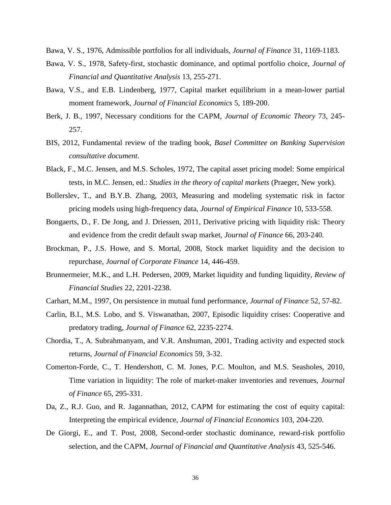Bawa, V. S., 1976, Admissible portfolios for all individuals, *Journal of Finance* 31, 1169-1183.

- <span id="page-35-9"></span>Bawa, V. S., 1978, Safety-first, stochastic dominance, and optimal portfolio choice, *Journal of Financial and Quantitative Analysis* 13, 255-271.
- <span id="page-35-1"></span>Bawa, V.S., and E.B. Lindenberg, 1977, Capital market equilibrium in a mean-lower partial moment framework, *Journal of Financial Economics* 5, 189-200.
- <span id="page-35-8"></span>Berk, J. B., 1997, Necessary conditions for the CAPM, *Journal of Economic Theory* 73, 245- 257.
- <span id="page-35-5"></span>BIS, 2012, Fundamental review of the trading book, *Basel Committee on Banking Supervision consultative document*.
- <span id="page-35-14"></span>Black, F., M.C. Jensen, and M.S. Scholes, 1972, The capital asset pricing model: Some empirical tests, in M.C. Jensen, ed.: *Studies in the theory of capital markets* (Praeger, New york).
- <span id="page-35-12"></span>Bollerslev, T., and B.Y.B. Zhang, 2003, Measuring and modeling systematic risk in factor pricing models using high-frequency data, *Journal of Empirical Finance* 10, 533-558.
- <span id="page-35-10"></span>Bongaerts, D., F. De Jong, and J. Driessen, 2011, Derivative pricing with liquidity risk: Theory and evidence from the credit default swap market, *Journal of Finance* 66, 203-240.
- <span id="page-35-11"></span>Brockman, P., J.S. Howe, and S. Mortal, 2008, Stock market liquidity and the decision to repurchase, *Journal of Corporate Finance* 14, 446-459.
- <span id="page-35-0"></span>Brunnermeier, M.K., and L.H. Pedersen, 2009, Market liquidity and funding liquidity, *Review of Financial Studies* 22, 2201-2238.
- <span id="page-35-2"></span>Carhart, M.M., 1997, On persistence in mutual fund performance, *Journal of Finance* 52, 57-82.
- <span id="page-35-6"></span>Carlin, B.I., M.S. Lobo, and S. Viswanathan, 2007, Episodic liquidity crises: Cooperative and predatory trading, *Journal of Finance* 62, 2235-2274.
- <span id="page-35-3"></span>Chordia, T., A. Subrahmanyam, and V.R. Anshuman, 2001, Trading activity and expected stock returns, *Journal of Financial Economics* 59, 3-32.
- <span id="page-35-4"></span>Comerton-Forde, C., T. Hendershott, C. M. Jones, P.C. Moulton, and M.S. Seasholes, 2010, Time variation in liquidity: The role of market-maker inventories and revenues, *Journal of Finance* 65, 295-331.
- <span id="page-35-13"></span>Da, Z., R.J. Guo, and R. Jagannathan, 2012, CAPM for estimating the cost of equity capital: Interpreting the empirical evidence, *Journal of Financial Economics* 103, 204-220.
- <span id="page-35-7"></span>De Giorgi, E., and T. Post, 2008, Second-order stochastic dominance, reward-risk portfolio selection, and the CAPM, *Journal of Financial and Quantitative Analysis* 43, 525-546.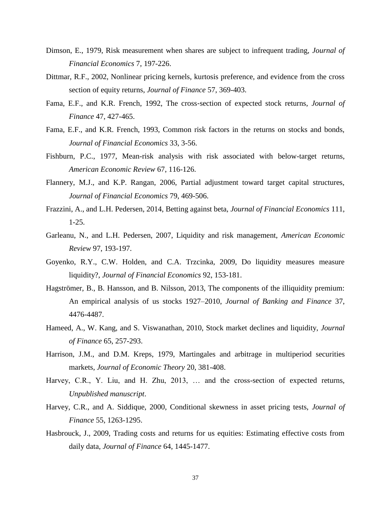- <span id="page-36-8"></span>Dimson, E., 1979, Risk measurement when shares are subject to infrequent trading, *Journal of Financial Economics* 7, 197-226.
- <span id="page-36-13"></span>Dittmar, R.F., 2002, Nonlinear pricing kernels, kurtosis preference, and evidence from the cross section of equity returns, *Journal of Finance* 57, 369-403.
- <span id="page-36-11"></span>Fama, E.F., and K.R. French, 1992, The cross‐section of expected stock returns, *Journal of Finance* 47, 427-465.
- <span id="page-36-1"></span>Fama, E.F., and K.R. French, 1993, Common risk factors in the returns on stocks and bonds, *Journal of Financial Economics* 33, 3-56.
- <span id="page-36-5"></span>Fishburn, P.C., 1977, Mean-risk analysis with risk associated with below-target returns, *American Economic Review* 67, 116-126.
- Flannery, M.J., and K.P. Rangan, 2006, Partial adjustment toward target capital structures, *Journal of Financial Economics* 79, 469-506.
- <span id="page-36-12"></span>Frazzini, A., and L.H. Pedersen, 2014, Betting against beta, *Journal of Financial Economics* 111, 1-25.
- <span id="page-36-4"></span>Garleanu, N., and L.H. Pedersen, 2007, Liquidity and risk management, *American Economic Review* 97, 193-197.
- <span id="page-36-7"></span>Goyenko, R.Y., C.W. Holden, and C.A. Trzcinka, 2009, Do liquidity measures measure liquidity?, *Journal of Financial Economics* 92, 153-181.
- <span id="page-36-3"></span>Hagströmer, B., B. Hansson, and B. Nilsson, 2013, The components of the illiquidity premium: An empirical analysis of us stocks 1927–2010, *Journal of Banking and Finance* 37, 4476-4487.
- <span id="page-36-2"></span>Hameed, A., W. Kang, and S. Viswanathan, 2010, Stock market declines and liquidity, *Journal of Finance* 65, 257-293.
- <span id="page-36-6"></span>Harrison, J.M., and D.M. Kreps, 1979, Martingales and arbitrage in multiperiod securities markets, *Journal of Economic Theory* 20, 381-408.
- <span id="page-36-10"></span>Harvey, C.R., Y. Liu, and H. Zhu, 2013, … and the cross-section of expected returns, *Unpublished manuscript*.
- <span id="page-36-9"></span>Harvey, C.R., and A. Siddique, 2000, Conditional skewness in asset pricing tests, *Journal of Finance* 55, 1263-1295.
- <span id="page-36-0"></span>Hasbrouck, J., 2009, Trading costs and returns for us equities: Estimating effective costs from daily data, *Journal of Finance* 64, 1445-1477.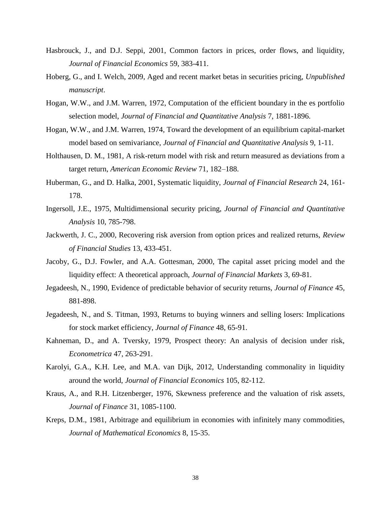- <span id="page-37-6"></span>Hasbrouck, J., and D.J. Seppi, 2001, Common factors in prices, order flows, and liquidity, *Journal of Financial Economics* 59, 383-411.
- <span id="page-37-11"></span>Hoberg, G., and I. Welch, 2009, Aged and recent market betas in securities pricing, *Unpublished manuscript*.
- <span id="page-37-3"></span>Hogan, W.W., and J.M. Warren, 1972, Computation of the efficient boundary in the es portfolio selection model, *Journal of Financial and Quantitative Analysis* 7, 1881-1896.
- <span id="page-37-1"></span>Hogan, W.W., and J.M. Warren, 1974, Toward the development of an equilibrium capital-market model based on semivariance, *Journal of Financial and Quantitative Analysis* 9, 1-11.
- <span id="page-37-4"></span>Holthausen, D. M., 1981, A risk-return model with risk and return measured as deviations from a target return, *American Economic Review* 71, 182–188.
- <span id="page-37-7"></span>Huberman, G., and D. Halka, 2001, Systematic liquidity, *Journal of Financial Research* 24, 161- 178.
- Ingersoll, J.E., 1975, Multidimensional security pricing, *Journal of Financial and Quantitative Analysis* 10, 785-798.
- Jackwerth, J. C., 2000, Recovering risk aversion from option prices and realized returns, *Review of Financial Studies* 13, 433-451.
- <span id="page-37-0"></span>Jacoby, G., D.J. Fowler, and A.A. Gottesman, 2000, The capital asset pricing model and the liquidity effect: A theoretical approach, *Journal of Financial Markets* 3, 69-81.
- <span id="page-37-9"></span>Jegadeesh, N., 1990, Evidence of predictable behavior of security returns, *Journal of Finance* 45, 881-898.
- <span id="page-37-10"></span>Jegadeesh, N., and S. Titman, 1993, Returns to buying winners and selling losers: Implications for stock market efficiency, *Journal of Finance* 48, 65-91.
- <span id="page-37-2"></span>Kahneman, D., and A. Tversky, 1979, Prospect theory: An analysis of decision under risk, *Econometrica* 47, 263-291.
- <span id="page-37-12"></span>Karolyi, G.A., K.H. Lee, and M.A. van Dijk, 2012, Understanding commonality in liquidity around the world, *Journal of Financial Economics* 105, 82-112.
- <span id="page-37-8"></span>Kraus, A., and R.H. Litzenberger, 1976, Skewness preference and the valuation of risk assets, *Journal of Finance* 31, 1085-1100.
- <span id="page-37-5"></span>Kreps, D.M., 1981, Arbitrage and equilibrium in economies with infinitely many commodities, *Journal of Mathematical Economics* 8, 15-35.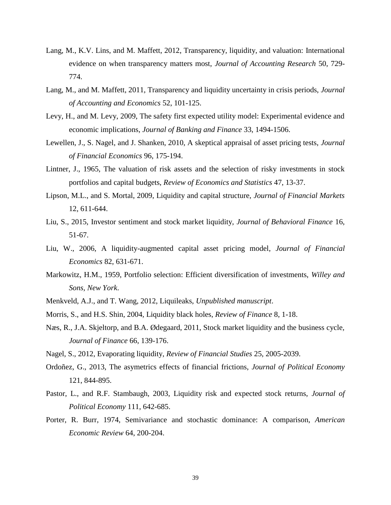- <span id="page-38-14"></span>Lang, M., K.V. Lins, and M. Maffett, 2012, Transparency, liquidity, and valuation: International evidence on when transparency matters most, *Journal of Accounting Research* 50, 729- 774.
- <span id="page-38-13"></span>Lang, M., and M. Maffett, 2011, Transparency and liquidity uncertainty in crisis periods, *Journal of Accounting and Economics* 52, 101-125.
- <span id="page-38-9"></span>Levy, H., and M. Levy, 2009, The safety first expected utility model: Experimental evidence and economic implications, *Journal of Banking and Finance* 33, 1494-1506.
- <span id="page-38-12"></span>Lewellen, J., S. Nagel, and J. Shanken, 2010, A skeptical appraisal of asset pricing tests, *Journal of Financial Economics* 96, 175-194.
- <span id="page-38-3"></span>Lintner, J., 1965, The valuation of risk assets and the selection of risky investments in stock portfolios and capital budgets, *Review of Economics and Statistics* 47, 13-37.
- <span id="page-38-15"></span>Lipson, M.L., and S. Mortal, 2009, Liquidity and capital structure, *Journal of Financial Markets* 12, 611-644.
- <span id="page-38-5"></span>Liu, S., 2015, Investor sentiment and stock market liquidity, *Journal of Behavioral Finance* 16, 51-67.
- <span id="page-38-0"></span>Liu, W., 2006, A liquidity-augmented capital asset pricing model, *Journal of Financial Economics* 82, 631-671.
- <span id="page-38-10"></span>Markowitz, H.M., 1959, Portfolio selection: Efficient diversification of investments, *Willey and Sons, New York*.
- <span id="page-38-4"></span>Menkveld, A.J., and T. Wang, 2012, Liquileaks, *Unpublished manuscript*.
- <span id="page-38-7"></span>Morris, S., and H.S. Shin, 2004, Liquidity black holes, *Review of Finance* 8, 1-18.
- <span id="page-38-6"></span>Næs, R., J.A. Skjeltorp, and B.A. Ødegaard, 2011, Stock market liquidity and the business cycle, *Journal of Finance* 66, 139-176.
- <span id="page-38-2"></span>Nagel, S., 2012, Evaporating liquidity, *Review of Financial Studies* 25, 2005-2039.
- <span id="page-38-8"></span>Ordoñez, G., 2013, The asymetrics effects of financial frictions, *Journal of Political Economy* 121, 844-895.
- <span id="page-38-1"></span>Pastor, L., and R.F. Stambaugh, 2003, Liquidity risk and expected stock returns, *Journal of Political Economy* 111, 642-685.
- <span id="page-38-11"></span>Porter, R. Burr, 1974, Semivariance and stochastic dominance: A comparison, *American Economic Review* 64, 200-204.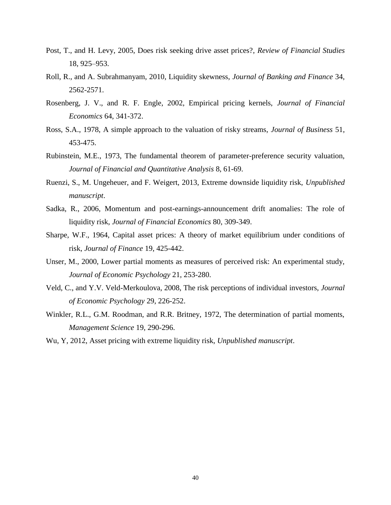- <span id="page-39-7"></span>Post, T., and H. Levy, 2005, Does risk seeking drive asset prices?, *Review of Financial Studies* 18, 925–953.
- <span id="page-39-1"></span>Roll, R., and A. Subrahmanyam, 2010, Liquidity skewness, *Journal of Banking and Finance* 34, 2562-2571.
- <span id="page-39-5"></span>Rosenberg, J. V., and R. F. Engle, 2002, Empirical pricing kernels, *Journal of Financial Economics* 64, 341-372.
- <span id="page-39-8"></span>Ross, S.A., 1978, A simple approach to the valuation of risky streams, *Journal of Business* 51, 453-475.
- <span id="page-39-10"></span>Rubinstein, M.E., 1973, The fundamental theorem of parameter-preference security valuation, *Journal of Financial and Quantitative Analysis* 8, 61-69.
- <span id="page-39-3"></span>Ruenzi, S., M. Ungeheuer, and F. Weigert, 2013, Extreme downside liquidity risk, *Unpublished manuscript*.
- <span id="page-39-9"></span>Sadka, R., 2006, Momentum and post-earnings-announcement drift anomalies: The role of liquidity risk, *Journal of Financial Economics* 80, 309-349.
- <span id="page-39-0"></span>Sharpe, W.F., 1964, Capital asset prices: A theory of market equilibrium under conditions of risk, *Journal of Finance* 19, 425-442.
- <span id="page-39-6"></span>Unser, M., 2000, Lower partial moments as measures of perceived risk: An experimental study, *Journal of Economic Psychology* 21, 253-280.
- <span id="page-39-4"></span>Veld, C., and Y.V. Veld-Merkoulova, 2008, The risk perceptions of individual investors, *Journal of Economic Psychology* 29, 226-252.
- <span id="page-39-11"></span>Winkler, R.L., G.M. Roodman, and R.R. Britney, 1972, The determination of partial moments, *Management Science* 19, 290-296.
- <span id="page-39-2"></span>Wu, Y, 2012, Asset pricing with extreme liquidity risk, *Unpublished manuscript*.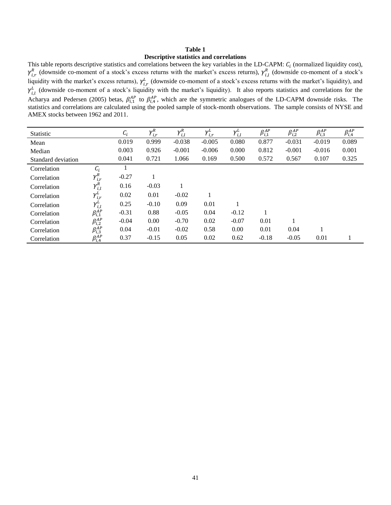## **Table 1 Descriptive statistics and correlations**

This table reports descriptive statistics and correlations between the key variables in the LD-CAPM:  $C_i$  (normalized liquidity cost),  $\gamma_{i,r}^R$  (downside co-moment of a stock's excess returns with the market's excess returns),  $\gamma_{i,l}^R$  (downside co-moment of a stock's liquidity with the market's excess returns),  $\gamma_{i,r}^L$  (downside co-moment of a stock's excess returns with the market's liquidity), and  $\gamma_{i,l}^L$  (downside co-moment of a stock's liquidity with the market's liquidity). It also reports statistics and correlations for the Acharya and Pedersen (2005) betas,  $\beta_{i,1}^{AP}$  to  $\beta_{i,4}^{AP}$ , which are the symmetric analogues of the LD-CAPM downside risks. The statistics and correlations are calculated using the pooled sample of stock-month observations. The sample consists of NYSE and AMEX stocks between 1962 and 2011.

| Statistic          |                                       | $C_i$   | $\gamma_{i,r}^R$ | $\gamma_{i,l}^R$ | $\gamma_{i,r}^L$ | $\gamma_{i,l}^{\scriptscriptstyle L}$ | $\beta_{i,1}^{AP}$ | $\beta_{i,2}^{AP}$ | $\beta_{i,3}^{AP}$ | $\beta^{AP}_{i,4}$ |
|--------------------|---------------------------------------|---------|------------------|------------------|------------------|---------------------------------------|--------------------|--------------------|--------------------|--------------------|
| Mean               |                                       | 0.019   | 0.999            | $-0.038$         | $-0.005$         | 0.080                                 | 0.877              | $-0.031$           | $-0.019$           | 0.089              |
| Median             |                                       | 0.003   | 0.926            | $-0.001$         | $-0.006$         | 0.000                                 | 0.812              | $-0.001$           | $-0.016$           | 0.001              |
| Standard deviation |                                       | 0.041   | 0.721            | 1.066            | 0.169            | 0.500                                 | 0.572              | 0.567              | 0.107              | 0.325              |
| Correlation        | $\mathcal{C}_i$                       |         |                  |                  |                  |                                       |                    |                    |                    |                    |
| Correlation        | $\gamma_{i,r}^R$                      | $-0.27$ |                  |                  |                  |                                       |                    |                    |                    |                    |
| Correlation        | $\gamma_{i,l}^R$                      | 0.16    | $-0.03$          | 1                |                  |                                       |                    |                    |                    |                    |
| Correlation        | $\gamma_{i,r}^{\mu}$                  | 0.02    | 0.01             | $-0.02$          |                  |                                       |                    |                    |                    |                    |
| Correlation        | $\gamma_{i,l}^{\scriptscriptstyle L}$ | 0.25    | $-0.10$          | 0.09             | 0.01             |                                       |                    |                    |                    |                    |
| Correlation        | $\beta_{i,1}^{AP}$                    | $-0.31$ | 0.88             | $-0.05$          | 0.04             | $-0.12$                               |                    |                    |                    |                    |
| Correlation        | $\beta_{i,2}^{AP}$                    | $-0.04$ | 0.00             | $-0.70$          | 0.02             | $-0.07$                               | 0.01               |                    |                    |                    |
| Correlation        | $\beta_{i,3}^{AP}$                    | 0.04    | $-0.01$          | $-0.02$          | 0.58             | 0.00                                  | 0.01               | 0.04               |                    |                    |
| Correlation        | $\beta_{i,4}^{AP}$                    | 0.37    | $-0.15$          | 0.05             | 0.02             | 0.62                                  | $-0.18$            | $-0.05$            | 0.01               |                    |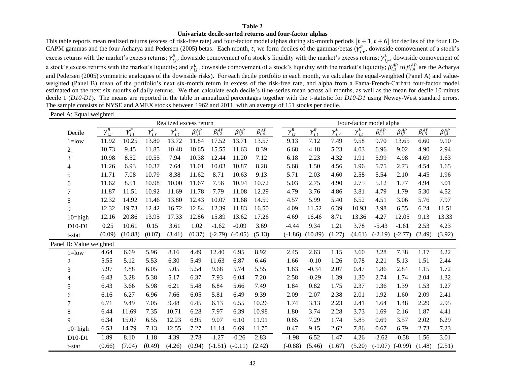#### **Univariate decile-sorted returns and four-factor alphas**

This table reports mean realized returns (excess of risk-free rate) and four-factor model alphas during six-month periods  $[t + 1, t + 6]$  for deciles of the four LD-CAPM gammas and the four Acharya and Pedersen (2005) betas. Each month, t, we form deciles of the gammas/betas ( $\gamma_{i,r}^R$ , downside comovement of a stock's excess returns with the market's excess returns;  $\gamma_{i,l}^R$ , downside comovement of a stock's liquidity with the market's excess returns;  $\gamma_{i,r}^L$ , downside comovement of a stock's excess returns with the market's liquidity; and  $\gamma_{i,l}^L$ , downside comovement of a stock's liquidity with the market's liquidity;  $\beta_{i,1}^{AP}$  to  $\beta_{i,4}^{AP}$  are the Acharya and Pedersen (2005) symmetric analogues of the downside risks). For each decile portfolio in each month, we calculate the equal-weighted (Panel A) and valueweighted (Panel B) mean of the portfolio's next six-month return in excess of the risk-free rate, and alpha from a Fama-French-Carhart four-factor model estimated on the next six months of daily returns. We then calculate each decile's time-series mean across all months, as well as the mean for decile 10 minus decile 1 (*D10-D1*). The means are reported in the table in annualized percentages together with the t-statistic for *D10-D1* using Newey-West standard errors. The sample consists of NYSE and AMEX stocks between 1962 and 2011, with an average of 151 stocks per decile.

| Panel A: Equal weighted |                  |                  |                  |                        |                               |                               |                               |                               |                               |                  |                  |                  |                    |                               |                               |                               |
|-------------------------|------------------|------------------|------------------|------------------------|-------------------------------|-------------------------------|-------------------------------|-------------------------------|-------------------------------|------------------|------------------|------------------|--------------------|-------------------------------|-------------------------------|-------------------------------|
|                         |                  |                  |                  | Realized excess return |                               |                               |                               |                               | Four-factor model alpha       |                  |                  |                  |                    |                               |                               |                               |
| Decile                  | $\gamma_{i,r}^R$ | $\gamma_{i,l}^R$ | $\gamma_{i,r}^L$ | $\gamma_{i,l}^L$       | $\overline{\beta_{i,1}^{AP}}$ | $\overline{\beta_{i,2}^{AP}}$ | $\overline{\beta_{i,3}^{AP}}$ | $\overline{\beta_{i,4}^{AP}}$ | $\gamma_{i,r}^{\overline{R}}$ | $\gamma_{i,l}^R$ | $\gamma_{i,r}^L$ | $\gamma_{i,l}^L$ | $\beta_{i,1}^{AP}$ | $\overline{\beta^{AP}_{i,2}}$ | $\overline{\beta_{i,3}^{AP}}$ | $\overline{\beta_{i,4}^{AP}}$ |
| $1 =$ low               | 11.92            | 10.25            | 13.80            | 13.72                  | 11.84                         | 17.52                         | 13.71                         | 13.57                         | 9.13                          | 7.12             | 7.49             | 9.58             | 9.70               | 13.65                         | 6.60                          | 9.10                          |
| 2                       | 10.73            | 9.45             | 11.85            | 10.48                  | 10.65                         | 15.55                         | 11.63                         | 8.39                          | 6.68                          | 4.18             | 5.23             | 4.03             | 6.96               | 9.02                          | 4.90                          | 2.94                          |
| 3                       | 10.98            | 8.52             | 10.55            | 7.94                   | 10.38                         | 12.44                         | 11.20                         | 7.12                          | 6.18                          | 2.23             | 4.32             | 1.91             | 5.99               | 4.98                          | 4.69                          | 1.63                          |
| 4                       | 11.26            | 6.93             | 10.37            | 7.64                   | 11.01                         | 10.03                         | 10.87                         | 8.28                          | 5.68                          | 1.50             | 4.56             | 1.96             | 5.75               | 2.73                          | 4.54                          | 1.65                          |
| 5                       | 11.71            | 7.08             | 10.79            | 8.38                   | 11.62                         | 8.71                          | 10.63                         | 9.13                          | 5.71                          | 2.03             | 4.60             | 2.58             | 5.54               | 2.10                          | 4.45                          | 1.96                          |
| 6                       | 11.62            | 8.51             | 10.98            | 10.00                  | 11.67                         | 7.56                          | 10.94                         | 10.72                         | 5.03                          | 2.75             | 4.90             | 2.75             | 5.12               | 1.77                          | 4.94                          | 3.01                          |
| 7                       | 11.87            | 11.51            | 10.92            | 11.69                  | 11.78                         | 7.79                          | 11.08                         | 12.29                         | 4.79                          | 3.76             | 4.86             | 3.81             | 4.79               | 1.79                          | 5.30                          | 4.52                          |
| 8                       | 12.32            | 14.92            | 11.46            | 13.80                  | 12.43                         | 10.07                         | 11.68                         | 14.59                         | 4.57                          | 5.99             | 5.40             | 6.52             | 4.51               | 3.06                          | 5.76                          | 7.97                          |
| 9                       | 12.32            | 19.73            | 12.42            | 16.72                  | 12.84                         | 12.39                         | 11.83                         | 16.50                         | 4.09                          | 11.52            | 6.39             | 10.93            | 3.98               | 6.55                          | 6.24                          | 11.51                         |
| $10 = high$             | 12.16            | 20.86            | 13.95            | 17.33                  | 12.86                         | 15.89                         | 13.62                         | 17.26                         | 4.69                          | 16.46            | 8.71             | 13.36            | 4.27               | 12.05                         | 9.13                          | 13.33                         |
| $D10-D1$                | 0.25             | 10.61            | 0.15             | 3.61                   | 1.02                          | $-1.62$                       | $-0.09$                       | 3.69                          | $-4.44$                       | 9.34             | 1.21             | 3.78             | $-5.43$            | $-1.61$                       | 2.53                          | 4.23                          |
| t-stat                  | (0.09)           | (10.88)          | (0.07)           | (3.41)                 | (0.37)                        | $(-2.79)$                     | $(-0.05)$                     | (5.13)                        | $(-1.86)$                     | (10.89)          | (1.27)           | (4.61)           | $(-2.19)$          | $(-2.77)$                     | (2.49)                        | (3.92)                        |
| Panel B: Value weighted |                  |                  |                  |                        |                               |                               |                               |                               |                               |                  |                  |                  |                    |                               |                               |                               |
| $1 =$ low               | 4.64             | 6.69             | 5.96             | 8.16                   | 4.49                          | 12.40                         | 6.95                          | 8.92                          | 2.45                          | 2.63             | 1.15             | 3.60             | 3.28               | 7.38                          | 1.17                          | 4.22                          |
| $\mathfrak 2$           | 5.55             | 5.12             | 5.53             | 6.30                   | 5.49                          | 11.63                         | 6.87                          | 6.46                          | 1.66                          | $-0.10$          | 1.26             | 0.78             | 2.21               | 5.13                          | 1.51                          | 2.44                          |
| 3                       | 5.97             | 4.88             | 6.05             | 5.05                   | 5.54                          | 9.68                          | 5.74                          | 5.55                          | 1.63                          | $-0.34$          | 2.07             | 0.47             | 1.86               | 2.84                          | 1.15                          | 1.72                          |
| 4                       | 6.43             | 3.28             | 5.38             | 5.17                   | 6.37                          | 7.93                          | 6.04                          | 7.20                          | 2.58                          | $-0.29$          | 1.39             | 1.30             | 2.74               | 1.74                          | 2.04                          | 1.32                          |
| 5                       | 6.43             | 3.66             | 5.98             | 6.21                   | 5.48                          | 6.84                          | 5.66                          | 7.49                          | 1.84                          | 0.82             | 1.75             | 2.37             | 1.36               | 1.39                          | 1.53                          | 1.27                          |
| 6                       | 6.16             | 6.27             | 6.96             | 7.66                   | 6.05                          | 5.81                          | 6.49                          | 9.39                          | 2.09                          | 2.07             | 2.38             | 2.01             | 1.92               | 1.60                          | 2.09                          | 2.41                          |
| 7                       | 6.71             | 9.49             | 7.05             | 9.48                   | 6.45                          | 6.13                          | 6.55                          | 10.26                         | 1.74                          | 3.13             | 2.23             | 2.41             | 1.64               | 1.48                          | 2.29                          | 2.95                          |
| 8                       | 6.44             | 11.69            | 7.35             | 10.71                  | 6.28                          | 7.97                          | 6.39                          | 10.98                         | 1.80                          | 3.74             | 2.28             | 3.73             | 1.69               | 2.16                          | 1.87                          | 4.41                          |
| 9                       | 6.34             | 15.07            | 6.55             | 12.23                  | 6.95                          | 9.07                          | 6.10                          | 11.91                         | 0.85                          | 7.29             | 1.74             | 5.85             | 0.69               | 3.57                          | 2.02                          | 6.29                          |
| $10 = high$             | 6.53             | 14.79            | 7.13             | 12.55                  | 7.27                          | 11.14                         | 6.69                          | 11.75                         | 0.47                          | 9.15             | 2.62             | 7.86             | 0.67               | 6.79                          | 2.73                          | 7.23                          |
| $D10-D1$                | 1.89             | 8.10             | 1.18             | 4.39                   | 2.78                          | $-1.27$                       | $-0.26$                       | 2.83                          | $-1.98$                       | 6.52             | 1.47             | 4.26             | $-2.62$            | $-0.58$                       | 1.56                          | 3.01                          |
| t-stat                  | (0.66)           | (7.04)           | (0.49)           | (4.26)                 | (0.94)                        | $(-1.51)$ $(-0.11)$           |                               | (2.42)                        | $(-0.88)$                     | (5.46)           | (1.67)           | (5.20)           |                    | $(-1.07)$ $(-0.99)$           | (1.48)                        | (2.51)                        |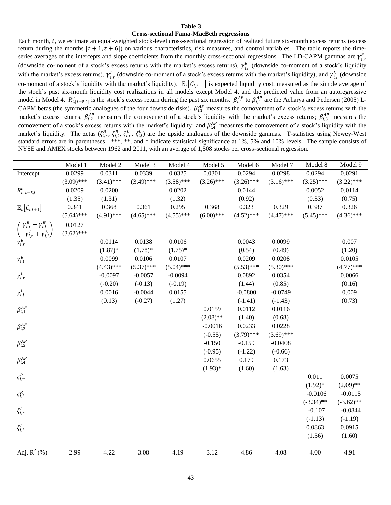#### **Cross-sectional Fama-MacBeth regressions**

Each month,  $t$ , we estimate an equal-weighted stock-level cross-sectional regression of realized future six-month excess returns (excess return during the months  $[t + 1, t + 6]$  on various characteristics, risk measures, and control variables. The table reports the timeseries averages of the intercepts and slope coefficients from the monthly cross-sectional regressions. The LD-CAPM gammas are  $\gamma_{i,r}^R$ (downside co-moment of a stock's excess returns with the market's excess returns),  $\gamma_{i,l}^R$  (downside co-moment of a stock's liquidity with the market's excess returns),  $\gamma_{i,r}^L$  (downside co-moment of a stock's excess returns with the market's liquidity), and  $\gamma_{i,l}^L$  (downside co-moment of a stock's liquidity with the market's liquidity).  $\mathbb{E}_t[C_{i,t+1}]$  is expected liquidity cost, measured as the simple average of the stock's past six-month liquidity cost realizations in all models except Model 4, and the predicted value from an autoregressive model in Model 4.  $R_{i,[t-5,t]}^e$  is the stock's excess return during the past six months.  $\beta_{i,1}^{AP}$  to  $\beta_{i,4}^{AP}$  are the Acharya and Pedersen (2005) L-CAPM betas (the symmetric analogues of the four downside risks).  $\beta_{i,1}^{AP}$  measures the comovement of a stock's excess returns with the market's excess returns;  $\beta_{i,2}^{AP}$  measures the comovement of a stock's liquidity with the market's excess returns;  $\beta_{i,3}^{AP}$  measures the comovement of a stock's excess returns with the market's liquidity; and  $\beta_{i,4}^{AP}$  measures the comovement of a stock's liquidity with the market's liquidity. The zetas  $(\zeta_{i,r}^R, \zeta_{i,l}^R, \zeta_{i,r}^L, \zeta_{i,l}^L)$  are the upside analogues of the downside gammas. T-statistics using Newey-West standard errors are in parentheses. \*\*\*, \*\*, and \* indicate statistical significance at 1%, 5% and 10% levels. The sample consists of NYSE and AMEX stocks between 1962 and 2011, with an average of 1,508 stocks per cross-sectional regression.

|                                                                                                                                                                                         | Model 1      | Model 2      | Model 3      | Model 4      | Model 5      | Model 6      | Model 7      | Model 8      | Model 9      |
|-----------------------------------------------------------------------------------------------------------------------------------------------------------------------------------------|--------------|--------------|--------------|--------------|--------------|--------------|--------------|--------------|--------------|
| Intercept                                                                                                                                                                               | 0.0299       | 0.0311       | 0.0339       | 0.0325       | 0.0301       | 0.0294       | 0.0298       | 0.0294       | 0.0291       |
|                                                                                                                                                                                         | $(3.09)$ *** | $(3.41)$ *** | $(3.49)$ *** | $(3.58)$ *** | $(3.26)$ *** | $(3.26)$ *** | $(3.16)$ *** | $(3.25)$ *** | $(3.22)$ *** |
| $R^e_{i,[t-5,t]}$                                                                                                                                                                       | 0.0209       | 0.0200       |              | 0.0202       |              | 0.0144       |              | 0.0052       | 0.0114       |
|                                                                                                                                                                                         | (1.35)       | (1.31)       |              | (1.32)       |              | (0.92)       |              | (0.33)       | (0.75)       |
|                                                                                                                                                                                         | 0.341        | 0.368        | 0.361        | 0.295        | 0.368        | 0.323        | 0.329        | 0.387        | 0.326        |
|                                                                                                                                                                                         | $(5.64)$ *** | $(4.91)$ *** | $(4.65)$ *** | $(4.55)$ *** | $(6.00)$ *** | $(4.52)$ *** | $(4.47)$ *** | $(5.45)$ *** | $(4.36)$ *** |
|                                                                                                                                                                                         | $0.0127\,$   |              |              |              |              |              |              |              |              |
| $\begin{aligned} &\mathbb{E}_t\bigl[C_{i,t+1}\bigr]\\ &\hspace{3.5cm}\biggl(\gamma_{i,r}^R+\gamma_{i,l}^R\biggr)\\ &\hspace{3.5cm}+\gamma_{i,r}^L+\gamma_{i,l}^L \biggr) \end{aligned}$ | $(3.62)$ *** |              |              |              |              |              |              |              |              |
| $\gamma^R_{i,r}$                                                                                                                                                                        |              | 0.0114       | 0.0138       | 0.0106       |              | 0.0043       | 0.0099       |              | 0.007        |
|                                                                                                                                                                                         |              | $(1.87)$ *   | $(1.78)$ *   | $(1.75)^*$   |              | (0.54)       | (0.49)       |              | (1.20)       |
| $\gamma^R_{i,l}$                                                                                                                                                                        |              | 0.0099       | 0.0106       | 0.0107       |              | 0.0209       | 0.0208       |              | 0.0105       |
|                                                                                                                                                                                         |              | $(4.43)$ *** | $(5.37)$ *** | $(5.04)$ *** |              | $(5.53)$ *** | $(5.30)$ *** |              | $(4.77)$ *** |
| $\gamma_{i,r}^L$                                                                                                                                                                        |              | $-0.0097$    | $-0.0057$    | $-0.0094$    |              | 0.0892       | 0.0354       |              | 0.0066       |
|                                                                                                                                                                                         |              | $(-0.20)$    | $(-0.13)$    | $(-0.19)$    |              | (1.44)       | (0.85)       |              | (0.16)       |
| $\gamma_{i,l}^L$                                                                                                                                                                        |              | 0.0016       | $-0.0044$    | 0.0155       |              | $-0.0800$    | $-0.0749$    |              | 0.009        |
|                                                                                                                                                                                         |              | (0.13)       | $(-0.27)$    | (1.27)       |              | $(-1.41)$    | $(-1.43)$    |              | (0.73)       |
| $\beta_{i,1}^{AP}$                                                                                                                                                                      |              |              |              |              | 0.0159       | 0.0112       | 0.0116       |              |              |
|                                                                                                                                                                                         |              |              |              |              | $(2.08)$ **  | (1.40)       | (0.68)       |              |              |
| $\beta_{i,2}^{AP}$                                                                                                                                                                      |              |              |              |              | $-0.0016$    | 0.0233       | 0.0228       |              |              |
|                                                                                                                                                                                         |              |              |              |              | $(-0.55)$    | $(3.79)$ *** | $(3.69)$ *** |              |              |
| $\beta_{i,3}^{AP}$                                                                                                                                                                      |              |              |              |              | $-0.150$     | $-0.159$     | $-0.0408$    |              |              |
|                                                                                                                                                                                         |              |              |              |              | $(-0.95)$    | $(-1.22)$    | $(-0.66)$    |              |              |
| $\beta^{AP}_{i,4}$                                                                                                                                                                      |              |              |              |              | 0.0655       | 0.179        | 0.173        |              |              |
|                                                                                                                                                                                         |              |              |              |              | $(1.93)*$    | (1.60)       | (1.63)       |              |              |
| $\zeta^R_{i,r}$                                                                                                                                                                         |              |              |              |              |              |              |              | 0.011        | 0.0075       |
|                                                                                                                                                                                         |              |              |              |              |              |              |              | $(1.92)*$    | $(2.09)$ **  |
| $\zeta_{i,l}^R$                                                                                                                                                                         |              |              |              |              |              |              |              | $-0.0106$    | $-0.0115$    |
|                                                                                                                                                                                         |              |              |              |              |              |              |              | $(-3.34)$ ** | $(-3.62)$ ** |
| $\zeta_{i,r}^L$                                                                                                                                                                         |              |              |              |              |              |              |              | $-0.107$     | $-0.0844$    |
|                                                                                                                                                                                         |              |              |              |              |              |              |              | $(-1.13)$    | $(-1.19)$    |
| $\zeta_{i,l}^L$                                                                                                                                                                         |              |              |              |              |              |              |              | 0.0863       | 0.0915       |
|                                                                                                                                                                                         |              |              |              |              |              |              |              | (1.56)       | (1.60)       |
|                                                                                                                                                                                         |              |              |              |              |              |              |              |              |              |
| Adj. $R^2$ (%)                                                                                                                                                                          | 2.99         | 4.22         | 3.08         | 4.19         | 3.12         | 4.86         | 4.08         | 4.00         | 4.91         |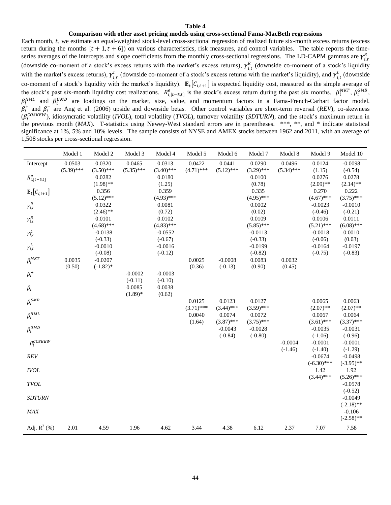#### **Comparison with other asset pricing models using cross-sectional Fama-MacBeth regressions**

Each month,  $t$ , we estimate an equal-weighted stock-level cross-sectional regression of realized future six-month excess returns (excess return during the months  $[t + 1, t + 6]$  on various characteristics, risk measures, and control variables. The table reports the timeseries averages of the intercepts and slope coefficients from the monthly cross-sectional regressions. The LD-CAPM gammas are  $\gamma_{i,r}^R$ (downside co-moment of a stock's excess returns with the market's excess returns),  $\gamma_{i,l}^R$  (downside co-moment of a stock's liquidity with the market's excess returns),  $\gamma_{i,r}^L$  (downside co-moment of a stock's excess returns with the market's liquidity), and  $\gamma_{i,l}^L$  (downside co-moment of a stock's liquidity with the market's liquidity).  $\mathbb{E}_t[C_{i,t+1}]$  is expected liquidity cost, measured as the simple average of the stock's past six-month liquidity cost realizations.  $R_{i,[t-5,t]}^e$  is the stock's excess return during the past six months.  $\beta_i^{MKT}$ ,  $\beta_i^{SMB}$ ,  $\beta_i^{HML}$  and  $\beta_i^{UMD}$  are loadings on the market, size, value, and momentum factors in a Fama-French-Carhart factor model.  $\beta_i^+$  and  $\beta_i^-$  are Ang et al. (2006) upside and downside betas. Other control variables are short-term reversal (*REV*), co-skewness ( ), idiosyncratic volatility (*IVOL*), total volatility (*TVOL*), turnover volatility (*SDTURN*), and the stock's maximum return in the previous month (*MAX*). T-statistics using Newey-West standard errors are in parentheses. \*\*\*, \*\*, and \* indicate statistical significance at 1%, 5% and 10% levels. The sample consists of NYSE and AMEX stocks between 1962 and 2011, with an average of 1,508 stocks per cross-sectional regression.

|                                                | Model 1                | Model 2                | Model 3                | Model 4                | Model 5                | Model 6                | Model 7                | Model 8                | Model 9                | Model 10               |
|------------------------------------------------|------------------------|------------------------|------------------------|------------------------|------------------------|------------------------|------------------------|------------------------|------------------------|------------------------|
| Intercept                                      | 0.0503<br>$(5.39)$ *** | 0.0320<br>$(3.50)$ *** | 0.0465<br>$(5.35)$ *** | 0.0313<br>$(3.40)$ *** | 0.0422<br>$(4.71)$ *** | 0.0441<br>$(5.12)$ *** | 0.0290<br>$(3.29)$ *** | 0.0496<br>$(5.34)$ *** | 0.0124<br>(1.15)       | $-0.0098$<br>$(-0.54)$ |
| $R^e_{i,[t-5,t]}$                              |                        | 0.0282                 |                        | 0.0180                 |                        |                        | 0.0100                 |                        | 0.0276                 | 0.0278                 |
|                                                |                        | $(1.98)$ **            |                        | (1.25)                 |                        |                        | (0.78)                 |                        | $(2.09)$ **            | $(2.14)$ **            |
| $\mathbb{E}_t \big[ \mathcal{C}_{i,t+1} \big]$ |                        | 0.356<br>$(5.12)$ ***  |                        | 0.359<br>$(4.93)$ ***  |                        |                        | 0.335<br>$(4.95)$ ***  |                        | 0.270<br>$(4.67)$ ***  | 0.222<br>$(3.75)$ ***  |
| $\gamma_{i,r}^R$                               |                        | 0.0322                 |                        | 0.0081                 |                        |                        | 0.0002                 |                        | $-0.0023$              | $-0.0010$              |
|                                                |                        | $(2.46)$ **            |                        | (0.72)                 |                        |                        | (0.02)                 |                        | $(-0.46)$              | $(-0.21)$              |
| $\gamma_{i,l}^R$                               |                        | 0.0101                 |                        | 0.0102                 |                        |                        | 0.0109                 |                        | 0.0106                 | 0.0111                 |
|                                                |                        | $(4.68)$ ***           |                        | $(4.83)$ ***           |                        |                        | $(5.85)$ ***           |                        | $(5.21)$ ***           | $(6.08)$ ***           |
| $\gamma_{i,r}^L$                               |                        | $-0.0138$<br>$(-0.33)$ |                        | $-0.0552$              |                        |                        | $-0.0113$<br>$(-0.33)$ |                        | $-0.0018$              | 0.0010                 |
|                                                |                        | $-0.0010$              |                        | $(-0.67)$<br>$-0.0016$ |                        |                        | $-0.0199$              |                        | $(-0.06)$<br>$-0.0164$ | (0.03)<br>$-0.0197$    |
| $\gamma_{i,l}^L$                               |                        | $(-0.08)$              |                        | $(-0.12)$              |                        |                        | $(-0.82)$              |                        | $(-0.75)$              | $(-0.83)$              |
| $\beta_i^{MKT}$                                | 0.0035                 | $-0.0207$              |                        |                        | 0.0025                 | $-0.0008$              | 0.0083                 | 0.0032                 |                        |                        |
|                                                | (0.50)                 | $(-1.82)$ *            |                        |                        | (0.36)                 | $(-0.13)$              | (0.90)                 | (0.45)                 |                        |                        |
| $\beta_i^+$                                    |                        |                        | $-0.0002$              | $-0.0003$              |                        |                        |                        |                        |                        |                        |
|                                                |                        |                        | $(-0.11)$              | $(-0.10)$              |                        |                        |                        |                        |                        |                        |
| $\beta_i^-$                                    |                        |                        | 0.0085<br>$(1.89)*$    | 0.0038<br>(0.62)       |                        |                        |                        |                        |                        |                        |
| $\beta_i^{SMB}$                                |                        |                        |                        |                        | 0.0125                 | 0.0123                 | 0.0127                 |                        | 0.0065                 | 0.0063                 |
|                                                |                        |                        |                        |                        | $(3.71)$ ***           | $(3.44)$ ***           | $(3.59)$ ***           |                        | $(2.07)$ **            | $(2.07)$ **            |
| $\beta_i^{HML}$                                |                        |                        |                        |                        | 0.0040                 | 0.0074                 | 0.0072                 |                        | 0.0067                 | 0.0064                 |
|                                                |                        |                        |                        |                        | (1.64)                 | $(3.87)$ ***           | $(3.75)$ ***           |                        | $(3.61)$ ***           | $(3.37)$ ***           |
| $\beta_i^{UMD}$                                |                        |                        |                        |                        |                        | $-0.0043$              | $-0.0028$              |                        | $-0.0035$              | $-0.0031$              |
|                                                |                        |                        |                        |                        |                        | $(-0.84)$              | $(-0.80)$              |                        | $(-1.06)$              | $(-0.96)$              |
| $\beta_i^{COSKEW}$                             |                        |                        |                        |                        |                        |                        |                        | $-0.0004$<br>$(-1.46)$ | $-0.0001$<br>$(-1.40)$ | $-0.0001$<br>$(-1.29)$ |
| <b>REV</b>                                     |                        |                        |                        |                        |                        |                        |                        |                        | $-0.0674$              | $-0.0498$              |
|                                                |                        |                        |                        |                        |                        |                        |                        |                        | $(-6.30)$ ***          | $(-3.95)$ **           |
| IVOL                                           |                        |                        |                        |                        |                        |                        |                        |                        | 1.42                   | 1.92                   |
|                                                |                        |                        |                        |                        |                        |                        |                        |                        | $(3.44)$ ***           | $(5.26)$ ***           |
| $\it TVOL$                                     |                        |                        |                        |                        |                        |                        |                        |                        |                        | $-0.0578$              |
| <b>SDTURN</b>                                  |                        |                        |                        |                        |                        |                        |                        |                        |                        | $(-0.52)$<br>$-0.0049$ |
|                                                |                        |                        |                        |                        |                        |                        |                        |                        |                        | $(-2.18)$ **           |
| <b>MAX</b>                                     |                        |                        |                        |                        |                        |                        |                        |                        |                        | $-0.106$               |
|                                                |                        |                        |                        |                        |                        |                        |                        |                        |                        | $(-2.58)$ **           |
| Adj. $R^2$ (%)                                 | 2.01                   | 4.59                   | 1.96                   | 4.62                   | 3.44                   | 4.38                   | 6.12                   | 2.37                   | 7.07                   | 7.58                   |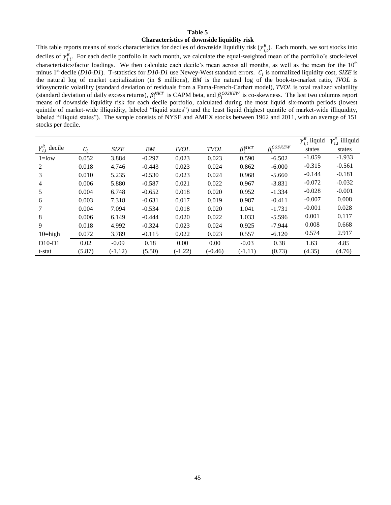#### **Characteristics of downside liquidity risk**

This table reports means of stock characteristics for deciles of downside liquidity risk  $(\gamma_{i,l}^R)$ . Each month, we sort stocks into deciles of  $\gamma_{i,l}^R$ . For each decile portfolio in each month, we calculate the equal-weighted mean of the portfolio's stock-level characteristics/factor loadings. We then calculate each decile's mean across all months, as well as the mean for the  $10<sup>th</sup>$ minus  $1^{st}$  decile (*D10-D1*). T-statistics for *D10-D1* use Newey-West standard errors.  $C_i$  is normalized liquidity cost, *SIZE* is the natural log of market capitalization (in \$ millions), *BM* is the natural log of the book-to-market ratio, *IVOL* is idiosyncratic volatility (standard deviation of residuals from a Fama-French-Carhart model), *TVOL* is total realized volatility (standard deviation of daily excess returns),  $\beta_i^{MKT}$  is CAPM beta, and  $\beta_i^{COSKEW}$  is co-skewness. The last two columns report means of downside liquidity risk for each decile portfolio, calculated during the most liquid six-month periods (lowest quintile of market-wide illiquidity, labeled "liquid states") and the least liquid (highest quintile of market-wide illiquidity, labeled "illiquid states"). The sample consists of NYSE and AMEX stocks between 1962 and 2011, with an average of 151 stocks per decile.

|                         |                 |             |          |             |             |                 |                    | $\gamma_{i,l}^R$ liquid | $\gamma_{i,l}^R$ illiquid |
|-------------------------|-----------------|-------------|----------|-------------|-------------|-----------------|--------------------|-------------------------|---------------------------|
| $\gamma_{i,l}^R$ decile | $\mathcal{C}_i$ | <b>SIZE</b> | BМ       | <b>IVOL</b> | <b>TVOL</b> | $\beta_i^{MKT}$ | $\beta_i^{COSKEW}$ | states                  | states                    |
| $1 =$ low               | 0.052           | 3.884       | $-0.297$ | 0.023       | 0.023       | 0.590           | $-6.502$           | $-1.059$                | $-1.933$                  |
| 2                       | 0.018           | 4.746       | $-0.443$ | 0.023       | 0.024       | 0.862           | $-6.000$           | $-0.315$                | $-0.561$                  |
| 3                       | 0.010           | 5.235       | $-0.530$ | 0.023       | 0.024       | 0.968           | $-5.660$           | $-0.144$                | $-0.181$                  |
| $\overline{4}$          | 0.006           | 5.880       | $-0.587$ | 0.021       | 0.022       | 0.967           | $-3.831$           | $-0.072$                | $-0.032$                  |
| 5                       | 0.004           | 6.748       | $-0.652$ | 0.018       | 0.020       | 0.952           | $-1.334$           | $-0.028$                | $-0.001$                  |
| 6                       | 0.003           | 7.318       | $-0.631$ | 0.017       | 0.019       | 0.987           | $-0.411$           | $-0.007$                | 0.008                     |
| 7                       | 0.004           | 7.094       | $-0.534$ | 0.018       | 0.020       | 1.041           | $-1.731$           | $-0.001$                | 0.028                     |
| 8                       | 0.006           | 6.149       | $-0.444$ | 0.020       | 0.022       | 1.033           | $-5.596$           | 0.001                   | 0.117                     |
| 9                       | 0.018           | 4.992       | $-0.324$ | 0.023       | 0.024       | 0.925           | $-7.944$           | 0.008                   | 0.668                     |
| $10 = high$             | 0.072           | 3.789       | $-0.115$ | 0.022       | 0.023       | 0.557           | $-6.120$           | 0.574                   | 2.917                     |
| $D10-D1$                | 0.02            | $-0.09$     | 0.18     | 0.00        | 0.00        | $-0.03$         | 0.38               | 1.63                    | 4.85                      |
| t-stat                  | (5.87)          | $(-1.12)$   | (5.50)   | $(-1.22)$   | $(-0.46)$   | $(-1.11)$       | (0.73)             | (4.35)                  | (4.76)                    |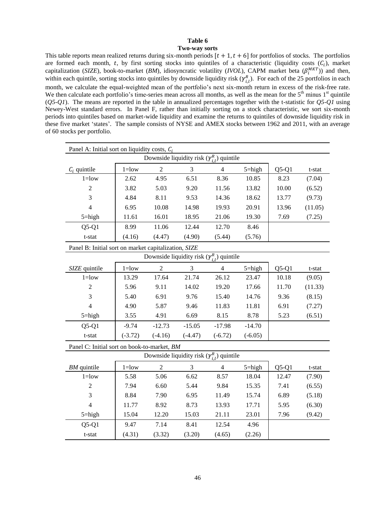#### **Table 6 Two-way sorts**

This table reports mean realized returns during six-month periods  $[t + 1, t + 6]$  for portfolios of stocks. The portfolios are formed each month, t, by first sorting stocks into quintiles of a characteristic (liquidity costs  $(C_i)$ , market capitalization (*SIZE*), book-to-market (*BM*), idiosyncratic volatility (*IVOL*), CAPM market beta ( $\beta_i^{MKT}$ )) and then, within each quintile, sorting stocks into quintiles by downside liquidity risk  $(\gamma_{i,l}^R)$ . For each of the 25 portfolios in each month, we calculate the equal-weighted mean of the portfolio's next six-month return in excess of the risk-free rate. We then calculate each portfolio's time-series mean across all months, as well as the mean for the  $5<sup>th</sup>$  minus  $1<sup>st</sup>$  quintile (*Q5-Q1*). The means are reported in the table in annualized percentages together with the t-statistic for *Q5-Q1* using Newey-West standard errors. In Panel F, rather than initially sorting on a stock characteristic, we sort six-month periods into quintiles based on market-wide liquidity and examine the returns to quintiles of downside liquidity risk in these five market 'states'. The sample consists of NYSE and AMEX stocks between 1962 and 2011, with an average of 60 stocks per portfolio.

| Panel A: Initial sort on liquidity costs, $C_i$     |                                                      |                |                                                     |                |            |         |         |  |  |  |  |
|-----------------------------------------------------|------------------------------------------------------|----------------|-----------------------------------------------------|----------------|------------|---------|---------|--|--|--|--|
|                                                     | Downside liquidity risk $(\gamma_{i,l}^R)$ quintile  |                |                                                     |                |            |         |         |  |  |  |  |
| $C_i$ quintile                                      | $1 =$ low                                            | 2              | 3                                                   | 4              | 5=high     | $Q5-Q1$ | t-stat  |  |  |  |  |
| $1 =$ low                                           | 2.62                                                 | 4.95           | 6.51                                                | 8.36           | 10.85      | 8.23    | (7.04)  |  |  |  |  |
| $\sqrt{2}$                                          | 3.82                                                 | 5.03           | 9.20                                                | 11.56          | 13.82      | 10.00   | (6.52)  |  |  |  |  |
| 3                                                   | 4.84                                                 | 8.11           | 9.53                                                | 14.36          | 18.62      | 13.77   | (9.73)  |  |  |  |  |
| $\overline{4}$                                      | 6.95                                                 | 10.08          | 14.98                                               | 19.93          | 20.91      | 13.96   | (11.05) |  |  |  |  |
| $5 = high$                                          | 11.61                                                | 16.01          | 18.95                                               | 21.06          | 19.30      | 7.69    | (7.25)  |  |  |  |  |
| $Q5-Q1$                                             | 8.99                                                 | 11.06          | 12.44                                               | 12.70          | 8.46       |         |         |  |  |  |  |
| t-stat                                              | (4.16)                                               | (4.47)         | (4.90)                                              | (5.44)         | (5.76)     |         |         |  |  |  |  |
|                                                     | Panel B: Initial sort on market capitalization, SIZE |                |                                                     |                |            |         |         |  |  |  |  |
| Downside liquidity risk $(\gamma_{i,l}^R)$ quintile |                                                      |                |                                                     |                |            |         |         |  |  |  |  |
| SIZE quintile                                       | $1 =$ low                                            | $\overline{c}$ | $Q5-Q1$                                             | t-stat         |            |         |         |  |  |  |  |
| $1 =$ low                                           | 13.29                                                | 17.64          | 21.74                                               | 26.12          | 23.47      | 10.18   | (9.05)  |  |  |  |  |
| $\overline{c}$                                      | 5.96                                                 | 9.11           | 14.02                                               | 19.20          | 17.66      | 11.70   | (11.33) |  |  |  |  |
| 3                                                   | 5.40                                                 | 6.91           | 9.76                                                | 15.40          | 14.76      | 9.36    | (8.15)  |  |  |  |  |
| $\overline{4}$                                      | 4.90                                                 | 5.87           | 9.46                                                | 11.83          | 11.81      | 6.91    | (7.27)  |  |  |  |  |
| 5=high                                              | 3.55                                                 | 4.91           | 6.69                                                | 8.15           | 8.78       | 5.23    | (6.51)  |  |  |  |  |
| $Q5-Q1$                                             | $-9.74$                                              | $-12.73$       | $-15.05$                                            | $-17.98$       | $-14.70$   |         |         |  |  |  |  |
| t-stat                                              | $(-3.72)$                                            | $(-4.16)$      | $(-4.47)$                                           | $(-6.72)$      | $(-6.05)$  |         |         |  |  |  |  |
| Panel C: Initial sort on book-to-market, BM         |                                                      |                |                                                     |                |            |         |         |  |  |  |  |
|                                                     |                                                      |                | Downside liquidity risk $(\gamma_{i,l}^R)$ quintile |                |            |         |         |  |  |  |  |
| <b>BM</b> quintile                                  | $1 =$ low                                            | $\sqrt{2}$     | 3                                                   | $\overline{4}$ | $5 = high$ | $Q5-Q1$ | t-stat  |  |  |  |  |
| $1 =$ low                                           | 5.58                                                 | 5.06           | 6.62                                                | 8.57           | 18.04      | 12.47   | (7.90)  |  |  |  |  |
| $\mathfrak 2$                                       | 7.94                                                 | 6.60           | 5.44                                                | 9.84           | 15.35      | 7.41    | (6.55)  |  |  |  |  |
| 3                                                   | 8.84                                                 | 7.90           | 6.95                                                | 11.49          | 15.74      | 6.89    | (5.18)  |  |  |  |  |
| $\overline{4}$                                      | 11.77                                                | 8.92           | 8.73                                                | 13.93          | 17.71      | 5.95    | (6.30)  |  |  |  |  |
| 5=high                                              | 15.04                                                | 12.20          | 15.03                                               | 21.11          | 23.01      | 7.96    | (9.42)  |  |  |  |  |
| $Q5-Q1$                                             | 9.47                                                 | 7.14           | 8.41                                                | 12.54          | 4.96       |         |         |  |  |  |  |
| t-stat                                              | (4.31)                                               | (3.32)         | (3.20)                                              | (4.65)         | (2.26)     |         |         |  |  |  |  |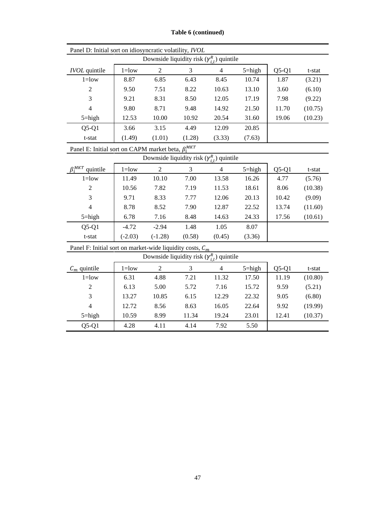| Panel D: Initial sort on idiosyncratic volatility, IVOL                                            |                                                          |                                                     |               |                |            |         |           |  |  |  |  |
|----------------------------------------------------------------------------------------------------|----------------------------------------------------------|-----------------------------------------------------|---------------|----------------|------------|---------|-----------|--|--|--|--|
| Downside liquidity risk $(\gamma_{i,l}^R)$ quintile                                                |                                                          |                                                     |               |                |            |         |           |  |  |  |  |
| <b>IVOL</b> quintile                                                                               | $1 =$ low                                                | $\overline{c}$                                      | 3             | 4              | $5 = high$ | $Q5-Q1$ | t-stat    |  |  |  |  |
| $1 =$ low                                                                                          | 8.87                                                     | 6.85                                                | 6.43          | 8.45           | 10.74      | 1.87    | (3.21)    |  |  |  |  |
| $\overline{2}$                                                                                     | 9.50                                                     | 7.51                                                | 8.22          | 10.63          | 13.10      | 3.60    | (6.10)    |  |  |  |  |
| 3                                                                                                  | 9.21                                                     | 8.31                                                | 8.50          | 12.05          | 17.19      | 7.98    | (9.22)    |  |  |  |  |
| 4                                                                                                  | 9.80                                                     | 8.71                                                | 9.48          | 14.92          | 21.50      | 11.70   | (10.75)   |  |  |  |  |
| $5 = high$                                                                                         | 12.53                                                    | 10.00                                               | 10.92         | 20.54          | 31.60      | 19.06   | (10.23)   |  |  |  |  |
| $Q5-Q1$                                                                                            | 3.66                                                     | 3.15                                                | 4.49          | 12.09          | 20.85      |         |           |  |  |  |  |
| t-stat                                                                                             | (1.49)                                                   |                                                     |               |                |            |         |           |  |  |  |  |
| (1.01)<br>(7.63)<br>(1.28)<br>(3.33)<br>Panel E: Initial sort on CAPM market beta, $\beta_i^{MKT}$ |                                                          |                                                     |               |                |            |         |           |  |  |  |  |
| Downside liquidity risk $(\gamma_{i,l}^R)$ quintile                                                |                                                          |                                                     |               |                |            |         |           |  |  |  |  |
| $\beta_i^{MKT}$ quintile                                                                           | $\sqrt{2}$<br>3<br>$1 =$ low<br>$\overline{4}$<br>5=high |                                                     |               |                |            | $Q5-Q1$ | t-stat    |  |  |  |  |
| $1 =$ low                                                                                          | 11.49                                                    | 10.10                                               | 7.00          | 13.58          | 16.26      | 4.77    | (5.76)    |  |  |  |  |
| $\overline{2}$                                                                                     | 10.56                                                    | 7.82                                                | 7.19          | 11.53          | 18.61      | 8.06    | (10.38)   |  |  |  |  |
| 3                                                                                                  | 9.71                                                     | 8.33                                                | 7.77          | 12.06          | 20.13      | 10.42   | (9.09)    |  |  |  |  |
| $\overline{4}$                                                                                     | 8.78                                                     | 8.52                                                | 7.90          | 12.87          | 22.52      | 13.74   | (11.60)   |  |  |  |  |
| $5 = high$                                                                                         | 6.78                                                     | 7.16                                                | 8.48          | 14.63          | 24.33      | 17.56   | (10.61)   |  |  |  |  |
| $Q5-Q1$                                                                                            | $-4.72$                                                  | $-2.94$                                             | 1.48          | 1.05           | 8.07       |         |           |  |  |  |  |
| t-stat                                                                                             | $(-2.03)$                                                | $(-1.28)$                                           | (0.58)        | (0.45)         | (3.36)     |         |           |  |  |  |  |
| Panel F: Initial sort on market-wide liquidity costs, $C_m$                                        |                                                          |                                                     |               |                |            |         |           |  |  |  |  |
|                                                                                                    |                                                          | Downside liquidity risk $(\gamma_{i,l}^R)$ quintile |               |                |            |         |           |  |  |  |  |
| $C_m$ quintile                                                                                     | $1 =$ low                                                | $\overline{2}$                                      | 3             | $\overline{4}$ | 5=high     | $Q5-Q1$ | $t$ -stat |  |  |  |  |
| $1 =$ low                                                                                          | 6.31                                                     | 4.88                                                | 7.21          | 11.32          | 17.50      | 11.19   | (10.80)   |  |  |  |  |
| $\overline{c}$                                                                                     | 6.13                                                     | 5.00                                                | 5.72          | 7.16           | 15.72      | 9.59    | (5.21)    |  |  |  |  |
| 3                                                                                                  | 13.27                                                    | 10.85                                               | 6.15          | 12.29          | 22.32      | 9.05    | (6.80)    |  |  |  |  |
| 4                                                                                                  | 12.72                                                    | 8.56                                                | 8.63<br>16.05 |                | 22.64      | 9.92    | (19.99)   |  |  |  |  |
| $5 = high$                                                                                         | 10.59                                                    | 8.99                                                | 11.34         | 19.24          | 23.01      | 12.41   | (10.37)   |  |  |  |  |

Q5-Q1 4.28 4.11 4.14 7.92 5.50

**Table 6 (continued)**